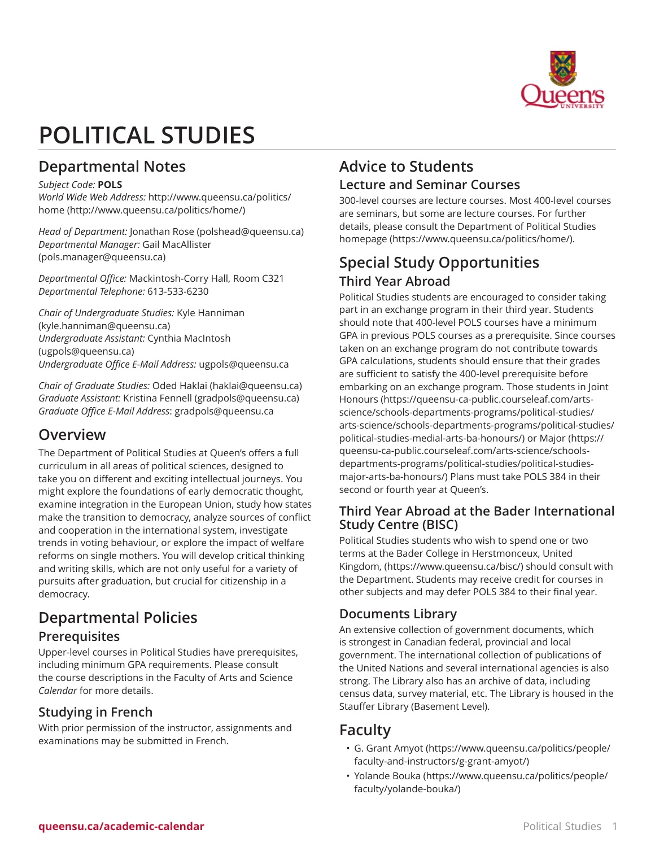

# **POLITICAL STUDIES**

# **Departmental Notes**

#### *Subject Code:* **POLS**

*World Wide Web Address:* [http://www.queensu.ca/politics/](http://www.queensu.ca/politics/home/) [home](http://www.queensu.ca/politics/home/) [\(http://www.queensu.ca/politics/home/\)](http://www.queensu.ca/politics/home/)

*Head of Department:* [Jonathan Rose](mailto:polshead@queensu.ca) ([polshead@queensu.ca\)](polshead@queensu.ca) *Departmental Manager:* [Gail MacAllister](mailto:pols.manager@queensu.ca) (<pols.manager@queensu.ca>)

*Departmental Office:* Mackintosh-Corry Hall, Room C321 *Departmental Telephone:* 613-533-6230

*Chair of Undergraduate Studies:* [Kyle Hanniman](mailto:kyle.hanniman@queensu.ca) ([kyle.hanniman@queensu.ca\)](kyle.hanniman@queensu.ca) *Undergraduate Assistant:* [Cynthia MacIntosh](mailto:ugpols@queensu.ca) ([ugpols@queensu.ca\)](ugpols@queensu.ca) *Undergraduate Office E-Mail Address:* [ugpols@queensu.ca](mailto:ugpols@queensu.ca)

*Chair of Graduate Studies:* [Oded Haklai](mailto:haklai@queensu.ca) ([haklai@queensu.ca\)](haklai@queensu.ca) *Graduate Assistant:* [Kristina Fennell](mailto:gradpols@queensu.ca) (<gradpols@queensu.ca>) *Graduate Office E-Mail Address*: [gradpols@queensu.ca](mailto:gradpols@queensu.ca)

# **Overview**

The Department of Political Studies at Queen's offers a full curriculum in all areas of political sciences, designed to take you on different and exciting intellectual journeys. You might explore the foundations of early democratic thought, examine integration in the European Union, study how states make the transition to democracy, analyze sources of conflict and cooperation in the international system, investigate trends in voting behaviour, or explore the impact of welfare reforms on single mothers. You will develop critical thinking and writing skills, which are not only useful for a variety of pursuits after graduation, but crucial for citizenship in a democracy.

# **Departmental Policies Prerequisites**

Upper-level courses in Political Studies have prerequisites, including minimum GPA requirements. Please consult the course descriptions in the Faculty of Arts and Science *Calendar* for more details.

# **Studying in French**

With prior permission of the instructor, assignments and examinations may be submitted in French.

# **Advice to Students Lecture and Seminar Courses**

300-level courses are lecture courses. Most 400-level courses are seminars, but some are lecture courses. For further details, please consult the [Department of Political Studies](https://www.queensu.ca/politics/home/) [homepage](https://www.queensu.ca/politics/home/) [\(https://www.queensu.ca/politics/home/\)](https://www.queensu.ca/politics/home/).

# **Special Study Opportunities Third Year Abroad**

Political Studies students are encouraged to consider taking part in an exchange program in their third year. Students should note that 400-level POLS courses have a minimum GPA in previous POLS courses as a prerequisite. Since courses taken on an exchange program do not contribute towards GPA calculations, students should ensure that their grades are sufficient to satisfy the 400-level prerequisite before embarking on an exchange program. Those students in [Joint](https://queensu-ca-public.courseleaf.com/arts-science/schools-departments-programs/political-studies/arts-science/schools-departments-programs/political-studies/political-studies-medial-arts-ba-honours/) [Honours](https://queensu-ca-public.courseleaf.com/arts-science/schools-departments-programs/political-studies/arts-science/schools-departments-programs/political-studies/political-studies-medial-arts-ba-honours/) ([https://queensu-ca-public.courseleaf.com/arts](https://queensu-ca-public.courseleaf.com/arts-science/schools-departments-programs/political-studies/arts-science/schools-departments-programs/political-studies/political-studies-medial-arts-ba-honours/)[science/schools-departments-programs/political-studies/](https://queensu-ca-public.courseleaf.com/arts-science/schools-departments-programs/political-studies/arts-science/schools-departments-programs/political-studies/political-studies-medial-arts-ba-honours/) [arts-science/schools-departments-programs/political-studies/](https://queensu-ca-public.courseleaf.com/arts-science/schools-departments-programs/political-studies/arts-science/schools-departments-programs/political-studies/political-studies-medial-arts-ba-honours/) [political-studies-medial-arts-ba-honours/](https://queensu-ca-public.courseleaf.com/arts-science/schools-departments-programs/political-studies/arts-science/schools-departments-programs/political-studies/political-studies-medial-arts-ba-honours/)) or [Major](https://queensu-ca-public.courseleaf.com/arts-science/schools-departments-programs/political-studies/political-studies-major-arts-ba-honours/) [\(https://](https://queensu-ca-public.courseleaf.com/arts-science/schools-departments-programs/political-studies/political-studies-major-arts-ba-honours/) [queensu-ca-public.courseleaf.com/arts-science/schools](https://queensu-ca-public.courseleaf.com/arts-science/schools-departments-programs/political-studies/political-studies-major-arts-ba-honours/)[departments-programs/political-studies/political-studies](https://queensu-ca-public.courseleaf.com/arts-science/schools-departments-programs/political-studies/political-studies-major-arts-ba-honours/)[major-arts-ba-honours/](https://queensu-ca-public.courseleaf.com/arts-science/schools-departments-programs/political-studies/political-studies-major-arts-ba-honours/)) Plans must take POLS 384 in their second or fourth year at Queen's.

# **Third Year Abroad at the Bader International Study Centre (BISC)**

Political Studies students who wish to spend one or two terms at the [Bader College in Herstmonceux, United](https://www.queensu.ca/bisc/) [Kingdom,](https://www.queensu.ca/bisc/) ([https://www.queensu.ca/bisc/\)](https://www.queensu.ca/bisc/) should consult with the Department. Students may receive credit for courses in other subjects and may defer POLS 384 to their final year.

# **Documents Library**

An extensive collection of government documents, which is strongest in Canadian federal, provincial and local government. The international collection of publications of the United Nations and several international agencies is also strong. The Library also has an archive of data, including census data, survey material, etc. The Library is housed in the Stauffer Library (Basement Level).

# **Faculty**

- G. Grant [Amyot](https://www.queensu.ca/politics/people/faculty-and-instructors/g-grant-amyot/) ([https://www.queensu.ca/politics/people/](https://www.queensu.ca/politics/people/faculty-and-instructors/g-grant-amyot/) [faculty-and-instructors/g-grant-amyot/](https://www.queensu.ca/politics/people/faculty-and-instructors/g-grant-amyot/))
- [Yolande](https://www.queensu.ca/politics/people/faculty/yolande-bouka/) Bouka [\(https://www.queensu.ca/politics/people/](https://www.queensu.ca/politics/people/faculty/yolande-bouka/) [faculty/yolande-bouka/](https://www.queensu.ca/politics/people/faculty/yolande-bouka/))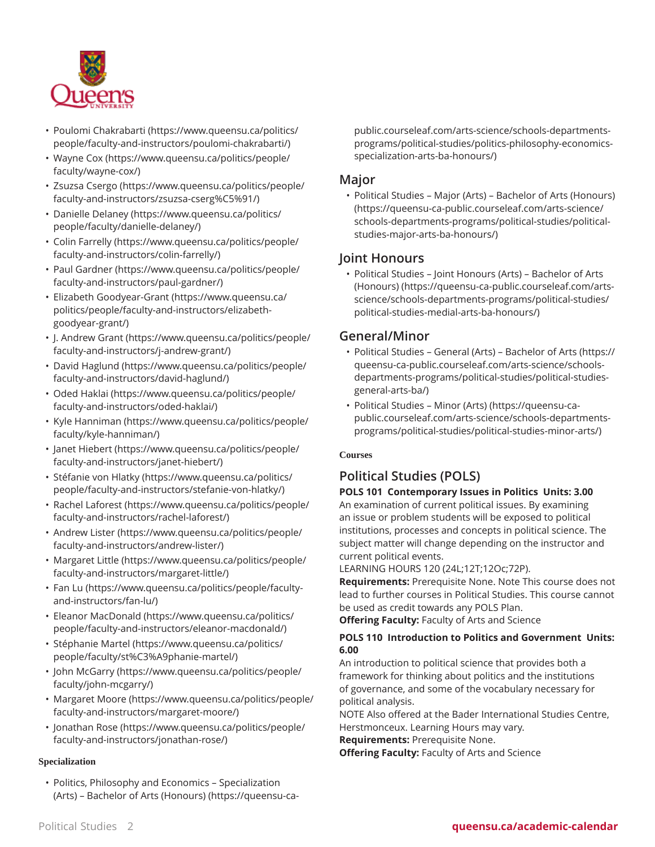

- Poulomi [Chakrabarti](https://www.queensu.ca/politics/people/faculty-and-instructors/poulomi-chakrabarti/) [\(https://www.queensu.ca/politics/](https://www.queensu.ca/politics/people/faculty-and-instructors/poulomi-chakrabarti/) [people/faculty-and-instructors/poulomi-chakrabarti/\)](https://www.queensu.ca/politics/people/faculty-and-instructors/poulomi-chakrabarti/)
- [Wayne](https://www.queensu.ca/politics/people/faculty/wayne-cox/) Cox [\(https://www.queensu.ca/politics/people/](https://www.queensu.ca/politics/people/faculty/wayne-cox/) [faculty/wayne-cox/\)](https://www.queensu.ca/politics/people/faculty/wayne-cox/)
- Zsuzsa [Csergo](https://www.queensu.ca/politics/people/faculty-and-instructors/zsuzsa-cserg%C5%91/) ([https://www.queensu.ca/politics/people/](https://www.queensu.ca/politics/people/faculty-and-instructors/zsuzsa-cserg%C5%91/) [faculty-and-instructors/zsuzsa-cserg%C5%91/\)](https://www.queensu.ca/politics/people/faculty-and-instructors/zsuzsa-cserg%C5%91/)
- [Danielle](https://www.queensu.ca/politics/people/faculty/danielle-delaney/) Delaney [\(https://www.queensu.ca/politics/](https://www.queensu.ca/politics/people/faculty/danielle-delaney/) [people/faculty/danielle-delaney/](https://www.queensu.ca/politics/people/faculty/danielle-delaney/))
- Colin [Farrelly](https://www.queensu.ca/politics/people/faculty-and-instructors/colin-farrelly/) [\(https://www.queensu.ca/politics/people/](https://www.queensu.ca/politics/people/faculty-and-instructors/colin-farrelly/) [faculty-and-instructors/colin-farrelly/\)](https://www.queensu.ca/politics/people/faculty-and-instructors/colin-farrelly/)
- Paul [Gardner](https://www.queensu.ca/politics/people/faculty-and-instructors/paul-gardner/) [\(https://www.queensu.ca/politics/people/](https://www.queensu.ca/politics/people/faculty-and-instructors/paul-gardner/) [faculty-and-instructors/paul-gardner/\)](https://www.queensu.ca/politics/people/faculty-and-instructors/paul-gardner/)
- Elizabeth [Goodyear-Grant](https://www.queensu.ca/politics/people/faculty-and-instructors/elizabeth-goodyear-grant/) [\(https://www.queensu.ca/](https://www.queensu.ca/politics/people/faculty-and-instructors/elizabeth-goodyear-grant/) [politics/people/faculty-and-instructors/elizabeth](https://www.queensu.ca/politics/people/faculty-and-instructors/elizabeth-goodyear-grant/)[goodyear-grant/\)](https://www.queensu.ca/politics/people/faculty-and-instructors/elizabeth-goodyear-grant/)
- J. [Andrew](https://www.queensu.ca/politics/people/faculty-and-instructors/j-andrew-grant/) Grant [\(https://www.queensu.ca/politics/people/](https://www.queensu.ca/politics/people/faculty-and-instructors/j-andrew-grant/) [faculty-and-instructors/j-andrew-grant/](https://www.queensu.ca/politics/people/faculty-and-instructors/j-andrew-grant/))
- [David Haglund](https://www.queensu.ca/politics/people/faculty-and-instructors/david-haglund/) ([https://www.queensu.ca/politics/people/](https://www.queensu.ca/politics/people/faculty-and-instructors/david-haglund/) [faculty-and-instructors/david-haglund/](https://www.queensu.ca/politics/people/faculty-and-instructors/david-haglund/))
- [Oded Haklai](https://www.queensu.ca/politics/people/faculty-and-instructors/oded-haklai/) [\(https://www.queensu.ca/politics/people/](https://www.queensu.ca/politics/people/faculty-and-instructors/oded-haklai/) [faculty-and-instructors/oded-haklai/\)](https://www.queensu.ca/politics/people/faculty-and-instructors/oded-haklai/)
- [Kyle Hanniman](https://www.queensu.ca/politics/people/faculty/kyle-hanniman/) ([https://www.queensu.ca/politics/people/](https://www.queensu.ca/politics/people/faculty/kyle-hanniman/) [faculty/kyle-hanniman/\)](https://www.queensu.ca/politics/people/faculty/kyle-hanniman/)
- [Janet Hiebert](https://www.queensu.ca/politics/people/faculty-and-instructors/janet-hiebert/) ([https://www.queensu.ca/politics/people/](https://www.queensu.ca/politics/people/faculty-and-instructors/janet-hiebert/) [faculty-and-instructors/janet-hiebert/\)](https://www.queensu.ca/politics/people/faculty-and-instructors/janet-hiebert/)
- [Stéfanie von Hlatky](https://www.queensu.ca/politics/people/faculty-and-instructors/stefanie-von-hlatky/) [\(https://www.queensu.ca/politics/](https://www.queensu.ca/politics/people/faculty-and-instructors/stefanie-von-hlatky/) [people/faculty-and-instructors/stefanie-von-hlatky/](https://www.queensu.ca/politics/people/faculty-and-instructors/stefanie-von-hlatky/))
- Rachel [Laforest](https://www.queensu.ca/politics/people/faculty-and-instructors/rachel-laforest/) [\(https://www.queensu.ca/politics/people/](https://www.queensu.ca/politics/people/faculty-and-instructors/rachel-laforest/) [faculty-and-instructors/rachel-laforest/\)](https://www.queensu.ca/politics/people/faculty-and-instructors/rachel-laforest/)
- [Andrew](https://www.queensu.ca/politics/people/faculty-and-instructors/andrew-lister/) Lister ([https://www.queensu.ca/politics/people/](https://www.queensu.ca/politics/people/faculty-and-instructors/andrew-lister/) [faculty-and-instructors/andrew-lister/\)](https://www.queensu.ca/politics/people/faculty-and-instructors/andrew-lister/)
- [Margaret](https://www.queensu.ca/politics/people/faculty-and-instructors/margaret-little/) Little [\(https://www.queensu.ca/politics/people/](https://www.queensu.ca/politics/people/faculty-and-instructors/margaret-little/) [faculty-and-instructors/margaret-little/](https://www.queensu.ca/politics/people/faculty-and-instructors/margaret-little/))
- [Fan Lu](https://www.queensu.ca/politics/people/faculty-and-instructors/fan-lu/) ([https://www.queensu.ca/politics/people/faculty](https://www.queensu.ca/politics/people/faculty-and-instructors/fan-lu/)[and-instructors/fan-lu/](https://www.queensu.ca/politics/people/faculty-and-instructors/fan-lu/))
- [Eleanor MacDonald](https://www.queensu.ca/politics/people/faculty-and-instructors/eleanor-macdonald/) ([https://www.queensu.ca/politics/](https://www.queensu.ca/politics/people/faculty-and-instructors/eleanor-macdonald/) [people/faculty-and-instructors/eleanor-macdonald/](https://www.queensu.ca/politics/people/faculty-and-instructors/eleanor-macdonald/))
- [Stéphanie Martel](https://www.queensu.ca/politics/people/faculty/st%C3%A9phanie-martel/) ([https://www.queensu.ca/politics/](https://www.queensu.ca/politics/people/faculty/st%C3%A9phanie-martel/) [people/faculty/st%C3%A9phanie-martel/\)](https://www.queensu.ca/politics/people/faculty/st%C3%A9phanie-martel/)
- [John McGarry](https://www.queensu.ca/politics/people/faculty/john-mcgarry/) [\(https://www.queensu.ca/politics/people/](https://www.queensu.ca/politics/people/faculty/john-mcgarry/) [faculty/john-mcgarry/\)](https://www.queensu.ca/politics/people/faculty/john-mcgarry/)
- [Margaret](https://www.queensu.ca/politics/people/faculty-and-instructors/margaret-moore/) Moore [\(https://www.queensu.ca/politics/people/](https://www.queensu.ca/politics/people/faculty-and-instructors/margaret-moore/) [faculty-and-instructors/margaret-moore/\)](https://www.queensu.ca/politics/people/faculty-and-instructors/margaret-moore/)
- [Jonathan Rose](https://www.queensu.ca/politics/people/faculty-and-instructors/jonathan-rose/) [\(https://www.queensu.ca/politics/people/](https://www.queensu.ca/politics/people/faculty-and-instructors/jonathan-rose/) [faculty-and-instructors/jonathan-rose/](https://www.queensu.ca/politics/people/faculty-and-instructors/jonathan-rose/))

#### **Specialization**

• [Politics, Philosophy and Economics – Specialization](https://queensu-ca-public.courseleaf.com/arts-science/schools-departments-programs/political-studies/politics-philosophy-economics-specialization-arts-ba-honours/) [\(Arts\) – Bachelor of Arts \(Honours\)](https://queensu-ca-public.courseleaf.com/arts-science/schools-departments-programs/political-studies/politics-philosophy-economics-specialization-arts-ba-honours/) [\(https://queensu-ca-](https://queensu-ca-public.courseleaf.com/arts-science/schools-departments-programs/political-studies/politics-philosophy-economics-specialization-arts-ba-honours/) [public.courseleaf.com/arts-science/schools-departments](https://queensu-ca-public.courseleaf.com/arts-science/schools-departments-programs/political-studies/politics-philosophy-economics-specialization-arts-ba-honours/)[programs/political-studies/politics-philosophy-economics](https://queensu-ca-public.courseleaf.com/arts-science/schools-departments-programs/political-studies/politics-philosophy-economics-specialization-arts-ba-honours/)[specialization-arts-ba-honours/\)](https://queensu-ca-public.courseleaf.com/arts-science/schools-departments-programs/political-studies/politics-philosophy-economics-specialization-arts-ba-honours/)

# **Major**

• [Political Studies – Major \(Arts\) – Bachelor of Arts \(Honours\)](https://queensu-ca-public.courseleaf.com/arts-science/schools-departments-programs/political-studies/political-studies-major-arts-ba-honours/) ([https://queensu-ca-public.courseleaf.com/arts-science/](https://queensu-ca-public.courseleaf.com/arts-science/schools-departments-programs/political-studies/political-studies-major-arts-ba-honours/) [schools-departments-programs/political-studies/political](https://queensu-ca-public.courseleaf.com/arts-science/schools-departments-programs/political-studies/political-studies-major-arts-ba-honours/)[studies-major-arts-ba-honours/](https://queensu-ca-public.courseleaf.com/arts-science/schools-departments-programs/political-studies/political-studies-major-arts-ba-honours/))

# **Joint Honours**

• [Political Studies – Joint Honours \(Arts\) – Bachelor of Arts](https://queensu-ca-public.courseleaf.com/arts-science/schools-departments-programs/political-studies/political-studies-medial-arts-ba-honours/) [\(Honours\)](https://queensu-ca-public.courseleaf.com/arts-science/schools-departments-programs/political-studies/political-studies-medial-arts-ba-honours/) [\(https://queensu-ca-public.courseleaf.com/arts](https://queensu-ca-public.courseleaf.com/arts-science/schools-departments-programs/political-studies/political-studies-medial-arts-ba-honours/)[science/schools-departments-programs/political-studies/](https://queensu-ca-public.courseleaf.com/arts-science/schools-departments-programs/political-studies/political-studies-medial-arts-ba-honours/) [political-studies-medial-arts-ba-honours/](https://queensu-ca-public.courseleaf.com/arts-science/schools-departments-programs/political-studies/political-studies-medial-arts-ba-honours/))

# **General/Minor**

- Political Studies General (Arts) [Bachelor](https://queensu-ca-public.courseleaf.com/arts-science/schools-departments-programs/political-studies/political-studies-general-arts-ba/) of Arts [\(https://](https://queensu-ca-public.courseleaf.com/arts-science/schools-departments-programs/political-studies/political-studies-general-arts-ba/) [queensu-ca-public.courseleaf.com/arts-science/schools](https://queensu-ca-public.courseleaf.com/arts-science/schools-departments-programs/political-studies/political-studies-general-arts-ba/)[departments-programs/political-studies/political-studies](https://queensu-ca-public.courseleaf.com/arts-science/schools-departments-programs/political-studies/political-studies-general-arts-ba/)[general-arts-ba/](https://queensu-ca-public.courseleaf.com/arts-science/schools-departments-programs/political-studies/political-studies-general-arts-ba/))
- [Political Studies Minor \(Arts\)](https://queensu-ca-public.courseleaf.com/arts-science/schools-departments-programs/political-studies/political-studies-minor-arts/) [\(https://queensu-ca](https://queensu-ca-public.courseleaf.com/arts-science/schools-departments-programs/political-studies/political-studies-minor-arts/)[public.courseleaf.com/arts-science/schools-departments](https://queensu-ca-public.courseleaf.com/arts-science/schools-departments-programs/political-studies/political-studies-minor-arts/)[programs/political-studies/political-studies-minor-arts/\)](https://queensu-ca-public.courseleaf.com/arts-science/schools-departments-programs/political-studies/political-studies-minor-arts/)

# **Courses**

# **Political Studies (POLS)**

**POLS 101 Contemporary Issues in Politics Units: 3.00** An examination of current political issues. By examining an issue or problem students will be exposed to political institutions, processes and concepts in political science. The subject matter will change depending on the instructor and current political events.

LEARNING HOURS 120 (24L;12T;12Oc;72P).

**Requirements:** Prerequisite None. Note This course does not lead to further courses in Political Studies. This course cannot be used as credit towards any POLS Plan.

**Offering Faculty:** Faculty of Arts and Science

### **POLS 110 Introduction to Politics and Government Units: 6.00**

An introduction to political science that provides both a framework for thinking about politics and the institutions of governance, and some of the vocabulary necessary for political analysis.

NOTE Also offered at the Bader International Studies Centre, Herstmonceux. Learning Hours may vary.

**Requirements:** Prerequisite None.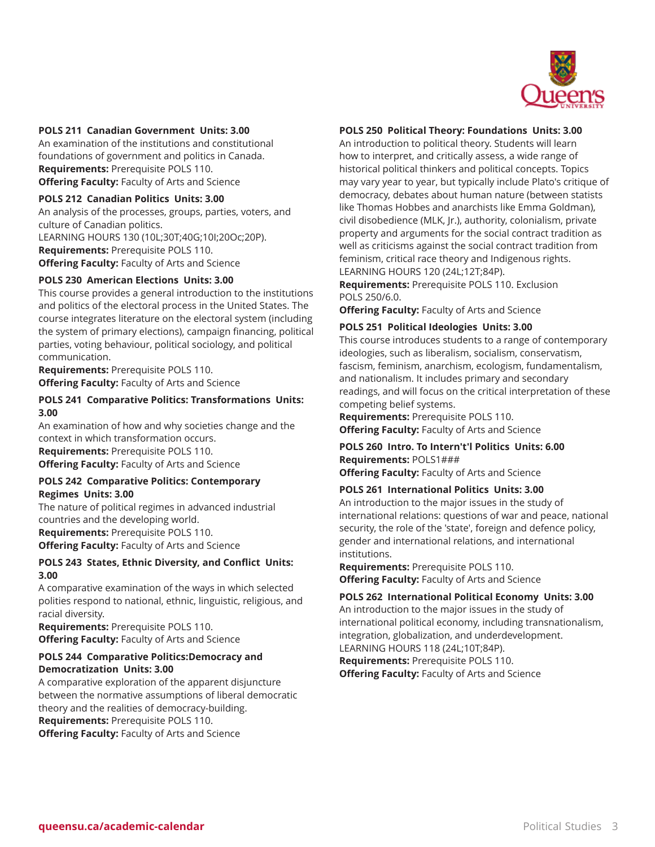

#### **POLS 211 Canadian Government Units: 3.00**

An examination of the institutions and constitutional foundations of government and politics in Canada. **Requirements:** Prerequisite POLS 110. **Offering Faculty:** Faculty of Arts and Science

#### **POLS 212 Canadian Politics Units: 3.00**

An analysis of the processes, groups, parties, voters, and culture of Canadian politics. LEARNING HOURS 130 (10L;30T;40G;10I;20Oc;20P). **Requirements:** Prerequisite POLS 110. **Offering Faculty:** Faculty of Arts and Science

#### **POLS 230 American Elections Units: 3.00**

This course provides a general introduction to the institutions and politics of the electoral process in the United States. The course integrates literature on the electoral system (including the system of primary elections), campaign financing, political parties, voting behaviour, political sociology, and political communication.

**Requirements:** Prerequisite POLS 110. **Offering Faculty:** Faculty of Arts and Science

#### **POLS 241 Comparative Politics: Transformations Units: 3.00**

An examination of how and why societies change and the context in which transformation occurs. **Requirements:** Prerequisite POLS 110. **Offering Faculty:** Faculty of Arts and Science

#### **POLS 242 Comparative Politics: Contemporary Regimes Units: 3.00**

The nature of political regimes in advanced industrial countries and the developing world. **Requirements:** Prerequisite POLS 110. **Offering Faculty:** Faculty of Arts and Science

#### **POLS 243 States, Ethnic Diversity, and Conflict Units: 3.00**

A comparative examination of the ways in which selected polities respond to national, ethnic, linguistic, religious, and racial diversity.

**Requirements:** Prerequisite POLS 110. **Offering Faculty:** Faculty of Arts and Science

#### **POLS 244 Comparative Politics:Democracy and Democratization Units: 3.00**

A comparative exploration of the apparent disjuncture between the normative assumptions of liberal democratic theory and the realities of democracy-building. **Requirements:** Prerequisite POLS 110.

**Offering Faculty:** Faculty of Arts and Science

#### **POLS 250 Political Theory: Foundations Units: 3.00**

An introduction to political theory. Students will learn how to interpret, and critically assess, a wide range of historical political thinkers and political concepts. Topics may vary year to year, but typically include Plato's critique of democracy, debates about human nature (between statists like Thomas Hobbes and anarchists like Emma Goldman), civil disobedience (MLK, Jr.), authority, colonialism, private property and arguments for the social contract tradition as well as criticisms against the social contract tradition from feminism, critical race theory and Indigenous rights. LEARNING HOURS 120 (24L;12T;84P).

**Requirements:** Prerequisite POLS 110. Exclusion POLS 250/6.0.

**Offering Faculty:** Faculty of Arts and Science

#### **POLS 251 Political Ideologies Units: 3.00**

This course introduces students to a range of contemporary ideologies, such as liberalism, socialism, conservatism, fascism, feminism, anarchism, ecologism, fundamentalism, and nationalism. It includes primary and secondary readings, and will focus on the critical interpretation of these competing belief systems.

**Requirements:** Prerequisite POLS 110. **Offering Faculty:** Faculty of Arts and Science

#### **POLS 260 Intro. To Intern't'l Politics Units: 6.00 Requirements:** POLS1### **Offering Faculty:** Faculty of Arts and Science

#### **POLS 261 International Politics Units: 3.00**

An introduction to the major issues in the study of international relations: questions of war and peace, national security, the role of the 'state', foreign and defence policy, gender and international relations, and international institutions.

**Requirements:** Prerequisite POLS 110. **Offering Faculty:** Faculty of Arts and Science

#### **POLS 262 International Political Economy Units: 3.00**

An introduction to the major issues in the study of international political economy, including transnationalism, integration, globalization, and underdevelopment. LEARNING HOURS 118 (24L;10T;84P).

**Requirements:** Prerequisite POLS 110. **Offering Faculty:** Faculty of Arts and Science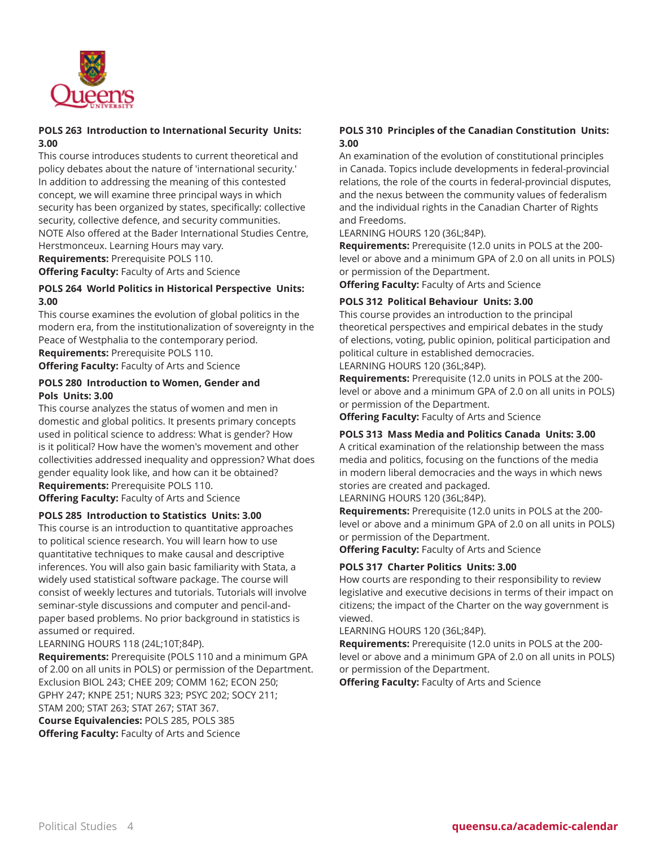

# **POLS 263 Introduction to International Security Units: 3.00**

This course introduces students to current theoretical and policy debates about the nature of 'international security.' In addition to addressing the meaning of this contested concept, we will examine three principal ways in which security has been organized by states, specifically: collective security, collective defence, and security communities. NOTE Also offered at the Bader International Studies Centre, Herstmonceux. Learning Hours may vary. **Requirements:** Prerequisite POLS 110.

**Offering Faculty:** Faculty of Arts and Science

### **POLS 264 World Politics in Historical Perspective Units: 3.00**

This course examines the evolution of global politics in the modern era, from the institutionalization of sovereignty in the Peace of Westphalia to the contemporary period. **Requirements:** Prerequisite POLS 110.

**Offering Faculty:** Faculty of Arts and Science

### **POLS 280 Introduction to Women, Gender and Pols Units: 3.00**

This course analyzes the status of women and men in domestic and global politics. It presents primary concepts used in political science to address: What is gender? How is it political? How have the women's movement and other collectivities addressed inequality and oppression? What does gender equality look like, and how can it be obtained? **Requirements:** Prerequisite POLS 110.

**Offering Faculty:** Faculty of Arts and Science

#### **POLS 285 Introduction to Statistics Units: 3.00**

This course is an introduction to quantitative approaches to political science research. You will learn how to use quantitative techniques to make causal and descriptive inferences. You will also gain basic familiarity with Stata, a widely used statistical software package. The course will consist of weekly lectures and tutorials. Tutorials will involve seminar-style discussions and computer and pencil-andpaper based problems. No prior background in statistics is assumed or required.

#### LEARNING HOURS 118 (24L;10T;84P).

**Requirements:** Prerequisite (POLS 110 and a minimum GPA of 2.00 on all units in POLS) or permission of the Department. Exclusion BIOL 243; CHEE 209; COMM 162; ECON 250; GPHY 247; KNPE 251; NURS 323; PSYC 202; SOCY 211; STAM 200; STAT 263; STAT 267; STAT 367. **Course Equivalencies:** POLS 285, POLS 385 **Offering Faculty:** Faculty of Arts and Science

### **POLS 310 Principles of the Canadian Constitution Units: 3.00**

An examination of the evolution of constitutional principles in Canada. Topics include developments in federal-provincial relations, the role of the courts in federal-provincial disputes, and the nexus between the community values of federalism and the individual rights in the Canadian Charter of Rights and Freedoms.

LEARNING HOURS 120 (36L;84P).

**Requirements:** Prerequisite (12.0 units in POLS at the 200 level or above and a minimum GPA of 2.0 on all units in POLS) or permission of the Department.

**Offering Faculty:** Faculty of Arts and Science

#### **POLS 312 Political Behaviour Units: 3.00**

This course provides an introduction to the principal theoretical perspectives and empirical debates in the study of elections, voting, public opinion, political participation and political culture in established democracies.

LEARNING HOURS 120 (36L;84P).

**Requirements:** Prerequisite (12.0 units in POLS at the 200 level or above and a minimum GPA of 2.0 on all units in POLS) or permission of the Department.

**Offering Faculty:** Faculty of Arts and Science

#### **POLS 313 Mass Media and Politics Canada Units: 3.00**

A critical examination of the relationship between the mass media and politics, focusing on the functions of the media in modern liberal democracies and the ways in which news stories are created and packaged.

LEARNING HOURS 120 (36L;84P).

**Requirements:** Prerequisite (12.0 units in POLS at the 200 level or above and a minimum GPA of 2.0 on all units in POLS) or permission of the Department.

**Offering Faculty:** Faculty of Arts and Science

#### **POLS 317 Charter Politics Units: 3.00**

How courts are responding to their responsibility to review legislative and executive decisions in terms of their impact on citizens; the impact of the Charter on the way government is viewed.

LEARNING HOURS 120 (36L;84P).

**Requirements:** Prerequisite (12.0 units in POLS at the 200 level or above and a minimum GPA of 2.0 on all units in POLS) or permission of the Department.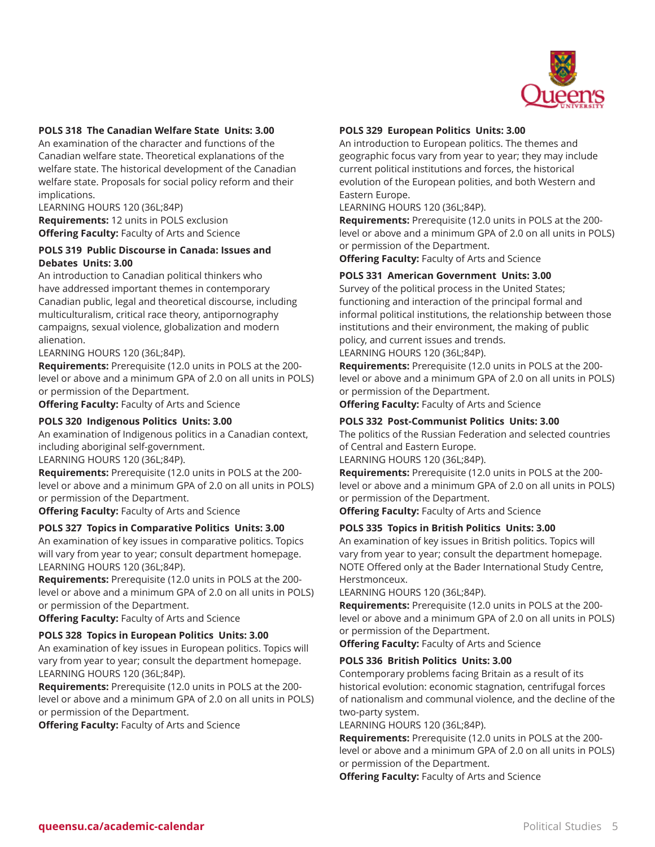

#### **POLS 318 The Canadian Welfare State Units: 3.00**

An examination of the character and functions of the Canadian welfare state. Theoretical explanations of the welfare state. The historical development of the Canadian welfare state. Proposals for social policy reform and their implications.

LEARNING HOURS 120 (36L;84P) **Requirements:** 12 units in POLS exclusion **Offering Faculty:** Faculty of Arts and Science

#### **POLS 319 Public Discourse in Canada: Issues and Debates Units: 3.00**

An introduction to Canadian political thinkers who have addressed important themes in contemporary Canadian public, legal and theoretical discourse, including multiculturalism, critical race theory, antipornography campaigns, sexual violence, globalization and modern alienation.

#### LEARNING HOURS 120 (36L;84P).

**Requirements:** Prerequisite (12.0 units in POLS at the 200 level or above and a minimum GPA of 2.0 on all units in POLS) or permission of the Department.

**Offering Faculty:** Faculty of Arts and Science

#### **POLS 320 Indigenous Politics Units: 3.00**

An examination of Indigenous politics in a Canadian context, including aboriginal self-government.

LEARNING HOURS 120 (36L;84P).

**Requirements:** Prerequisite (12.0 units in POLS at the 200 level or above and a minimum GPA of 2.0 on all units in POLS) or permission of the Department.

**Offering Faculty:** Faculty of Arts and Science

#### **POLS 327 Topics in Comparative Politics Units: 3.00**

An examination of key issues in comparative politics. Topics will vary from year to year; consult department homepage. LEARNING HOURS 120 (36L;84P).

**Requirements:** Prerequisite (12.0 units in POLS at the 200 level or above and a minimum GPA of 2.0 on all units in POLS) or permission of the Department.

**Offering Faculty:** Faculty of Arts and Science

#### **POLS 328 Topics in European Politics Units: 3.00**

An examination of key issues in European politics. Topics will vary from year to year; consult the department homepage. LEARNING HOURS 120 (36L;84P).

**Requirements:** Prerequisite (12.0 units in POLS at the 200 level or above and a minimum GPA of 2.0 on all units in POLS) or permission of the Department.

**Offering Faculty:** Faculty of Arts and Science

#### **POLS 329 European Politics Units: 3.00**

An introduction to European politics. The themes and geographic focus vary from year to year; they may include current political institutions and forces, the historical evolution of the European polities, and both Western and Eastern Europe.

LEARNING HOURS 120 (36L;84P).

**Requirements:** Prerequisite (12.0 units in POLS at the 200 level or above and a minimum GPA of 2.0 on all units in POLS) or permission of the Department.

**Offering Faculty:** Faculty of Arts and Science

#### **POLS 331 American Government Units: 3.00**

Survey of the political process in the United States; functioning and interaction of the principal formal and informal political institutions, the relationship between those institutions and their environment, the making of public policy, and current issues and trends.

#### LEARNING HOURS 120 (36L;84P).

**Requirements:** Prerequisite (12.0 units in POLS at the 200 level or above and a minimum GPA of 2.0 on all units in POLS) or permission of the Department.

**Offering Faculty:** Faculty of Arts and Science

#### **POLS 332 Post-Communist Politics Units: 3.00**

The politics of the Russian Federation and selected countries of Central and Eastern Europe.

LEARNING HOURS 120 (36L;84P).

**Requirements:** Prerequisite (12.0 units in POLS at the 200 level or above and a minimum GPA of 2.0 on all units in POLS) or permission of the Department.

**Offering Faculty:** Faculty of Arts and Science

#### **POLS 335 Topics in British Politics Units: 3.00**

An examination of key issues in British politics. Topics will vary from year to year; consult the department homepage. NOTE Offered only at the Bader International Study Centre, Herstmonceux.

LEARNING HOURS 120 (36L;84P).

**Requirements:** Prerequisite (12.0 units in POLS at the 200 level or above and a minimum GPA of 2.0 on all units in POLS) or permission of the Department.

**Offering Faculty:** Faculty of Arts and Science

#### **POLS 336 British Politics Units: 3.00**

Contemporary problems facing Britain as a result of its historical evolution: economic stagnation, centrifugal forces of nationalism and communal violence, and the decline of the two-party system.

LEARNING HOURS 120 (36L;84P).

**Requirements:** Prerequisite (12.0 units in POLS at the 200 level or above and a minimum GPA of 2.0 on all units in POLS) or permission of the Department.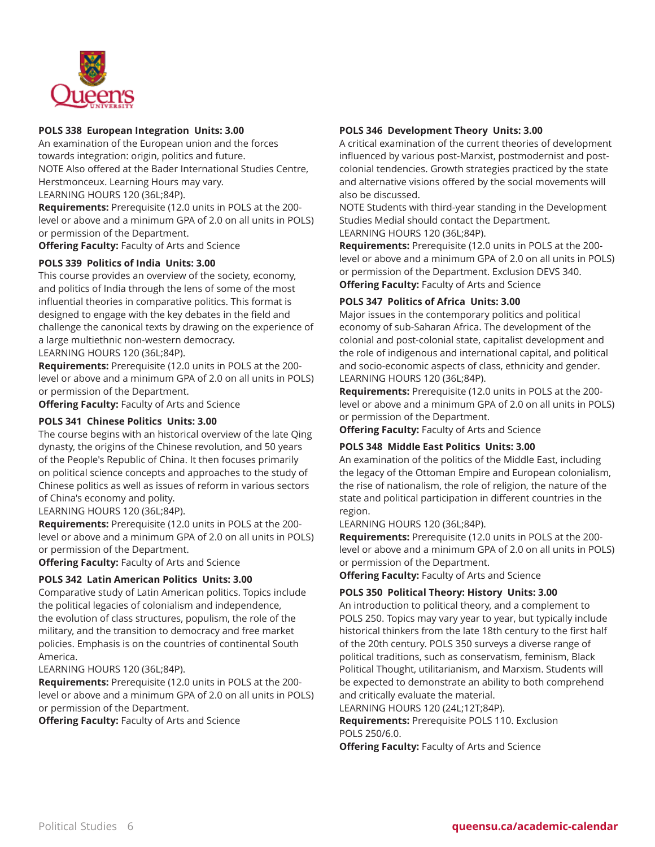

#### **POLS 338 European Integration Units: 3.00**

An examination of the European union and the forces towards integration: origin, politics and future. NOTE Also offered at the Bader International Studies Centre, Herstmonceux. Learning Hours may vary. LEARNING HOURS 120 (36L;84P).

**Requirements:** Prerequisite (12.0 units in POLS at the 200 level or above and a minimum GPA of 2.0 on all units in POLS) or permission of the Department.

**Offering Faculty:** Faculty of Arts and Science

#### **POLS 339 Politics of India Units: 3.00**

This course provides an overview of the society, economy, and politics of India through the lens of some of the most influential theories in comparative politics. This format is designed to engage with the key debates in the field and challenge the canonical texts by drawing on the experience of a large multiethnic non-western democracy.

#### LEARNING HOURS 120 (36L;84P).

**Requirements:** Prerequisite (12.0 units in POLS at the 200 level or above and a minimum GPA of 2.0 on all units in POLS) or permission of the Department.

**Offering Faculty:** Faculty of Arts and Science

#### **POLS 341 Chinese Politics Units: 3.00**

The course begins with an historical overview of the late Qing dynasty, the origins of the Chinese revolution, and 50 years of the People's Republic of China. It then focuses primarily on political science concepts and approaches to the study of Chinese politics as well as issues of reform in various sectors of China's economy and polity.

#### LEARNING HOURS 120 (36L;84P).

**Requirements:** Prerequisite (12.0 units in POLS at the 200 level or above and a minimum GPA of 2.0 on all units in POLS) or permission of the Department.

**Offering Faculty:** Faculty of Arts and Science

#### **POLS 342 Latin American Politics Units: 3.00**

Comparative study of Latin American politics. Topics include the political legacies of colonialism and independence, the evolution of class structures, populism, the role of the military, and the transition to democracy and free market policies. Emphasis is on the countries of continental South America.

#### LEARNING HOURS 120 (36L;84P).

**Requirements:** Prerequisite (12.0 units in POLS at the 200 level or above and a minimum GPA of 2.0 on all units in POLS) or permission of the Department.

**Offering Faculty:** Faculty of Arts and Science

### **POLS 346 Development Theory Units: 3.00**

A critical examination of the current theories of development influenced by various post-Marxist, postmodernist and postcolonial tendencies. Growth strategies practiced by the state and alternative visions offered by the social movements will also be discussed.

NOTE Students with third-year standing in the Development Studies Medial should contact the Department.

LEARNING HOURS 120 (36L;84P).

**Requirements:** Prerequisite (12.0 units in POLS at the 200 level or above and a minimum GPA of 2.0 on all units in POLS) or permission of the Department. Exclusion DEVS 340. **Offering Faculty:** Faculty of Arts and Science

#### **POLS 347 Politics of Africa Units: 3.00**

Major issues in the contemporary politics and political economy of sub-Saharan Africa. The development of the colonial and post-colonial state, capitalist development and the role of indigenous and international capital, and political and socio-economic aspects of class, ethnicity and gender. LEARNING HOURS 120 (36L;84P).

**Requirements:** Prerequisite (12.0 units in POLS at the 200 level or above and a minimum GPA of 2.0 on all units in POLS) or permission of the Department.

**Offering Faculty:** Faculty of Arts and Science

#### **POLS 348 Middle East Politics Units: 3.00**

An examination of the politics of the Middle East, including the legacy of the Ottoman Empire and European colonialism, the rise of nationalism, the role of religion, the nature of the state and political participation in different countries in the region.

LEARNING HOURS 120 (36L;84P).

**Requirements:** Prerequisite (12.0 units in POLS at the 200 level or above and a minimum GPA of 2.0 on all units in POLS) or permission of the Department.

**Offering Faculty:** Faculty of Arts and Science

#### **POLS 350 Political Theory: History Units: 3.00**

An introduction to political theory, and a complement to POLS 250. Topics may vary year to year, but typically include historical thinkers from the late 18th century to the first half of the 20th century. POLS 350 surveys a diverse range of political traditions, such as conservatism, feminism, Black Political Thought, utilitarianism, and Marxism. Students will be expected to demonstrate an ability to both comprehend and critically evaluate the material.

LEARNING HOURS 120 (24L;12T;84P).

**Requirements:** Prerequisite POLS 110. Exclusion POLS 250/6.0.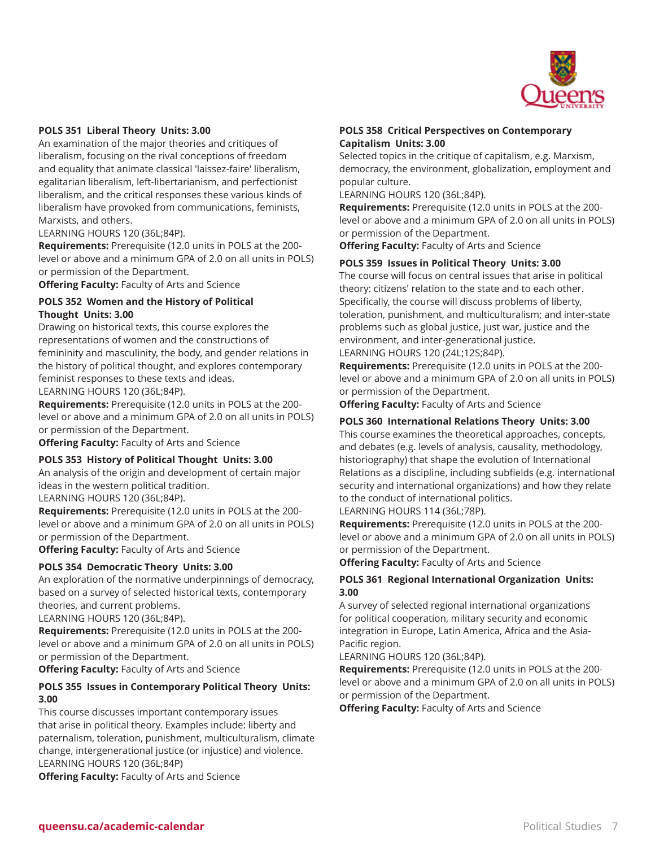

#### **POLS 351 Liberal Theory Units: 3.00**

An examination of the major theories and critiques of liberalism, focusing on the rival conceptions of freedom and equality that animate classical 'laissez-faire' liberalism, egalitarian liberalism, left-libertarianism, and perfectionist liberalism, and the critical responses these various kinds of liberalism have provoked from communications, feminists, Marxists, and others.

#### LEARNING HOURS 120 (36L;84P).

**Requirements:** Prerequisite (12.0 units in POLS at the 200 level or above and a minimum GPA of 2.0 on all units in POLS) or permission of the Department.

**Offering Faculty:** Faculty of Arts and Science

#### **POLS 352 Women and the History of Political Thought Units: 3.00**

Drawing on historical texts, this course explores the representations of women and the constructions of femininity and masculinity, the body, and gender relations in the history of political thought, and explores contemporary feminist responses to these texts and ideas.

LEARNING HOURS 120 (36L;84P).

**Requirements:** Prerequisite (12.0 units in POLS at the 200 level or above and a minimum GPA of 2.0 on all units in POLS) or permission of the Department.

**Offering Faculty:** Faculty of Arts and Science

#### **POLS 353 History of Political Thought Units: 3.00**

An analysis of the origin and development of certain major ideas in the western political tradition.

LEARNING HOURS 120 (36L;84P).

**Requirements:** Prerequisite (12.0 units in POLS at the 200 level or above and a minimum GPA of 2.0 on all units in POLS) or permission of the Department.

**Offering Faculty:** Faculty of Arts and Science

#### **POLS 354 Democratic Theory Units: 3.00**

An exploration of the normative underpinnings of democracy, based on a survey of selected historical texts, contemporary theories, and current problems.

LEARNING HOURS 120 (36L;84P).

**Requirements:** Prerequisite (12.0 units in POLS at the 200 level or above and a minimum GPA of 2.0 on all units in POLS) or permission of the Department.

**Offering Faculty:** Faculty of Arts and Science

#### **POLS 355 Issues in Contemporary Political Theory Units: 3.00**

This course discusses important contemporary issues that arise in political theory. Examples include: liberty and paternalism, toleration, punishment, multiculturalism, climate change, intergenerational justice (or injustice) and violence. LEARNING HOURS 120 (36L;84P)

**Offering Faculty:** Faculty of Arts and Science

#### **POLS 358 Critical Perspectives on Contemporary Capitalism Units: 3.00**

Selected topics in the critique of capitalism, e.g. Marxism, democracy, the environment, globalization, employment and popular culture.

LEARNING HOURS 120 (36L;84P).

**Requirements:** Prerequisite (12.0 units in POLS at the 200 level or above and a minimum GPA of 2.0 on all units in POLS) or permission of the Department.

**Offering Faculty:** Faculty of Arts and Science

#### **POLS 359 Issues in Political Theory Units: 3.00**

The course will focus on central issues that arise in political theory: citizens' relation to the state and to each other. Specifically, the course will discuss problems of liberty, toleration, punishment, and multiculturalism; and inter-state problems such as global justice, just war, justice and the environment, and inter-generational justice.

#### LEARNING HOURS 120 (24L;12S;84P).

**Requirements:** Prerequisite (12.0 units in POLS at the 200 level or above and a minimum GPA of 2.0 on all units in POLS) or permission of the Department.

**Offering Faculty:** Faculty of Arts and Science

#### **POLS 360 International Relations Theory Units: 3.00**

This course examines the theoretical approaches, concepts, and debates (e.g. levels of analysis, causality, methodology, historiography) that shape the evolution of International Relations as a discipline, including subfields (e.g. international security and international organizations) and how they relate to the conduct of international politics.

### LEARNING HOURS 114 (36L;78P).

**Requirements:** Prerequisite (12.0 units in POLS at the 200 level or above and a minimum GPA of 2.0 on all units in POLS) or permission of the Department.

**Offering Faculty:** Faculty of Arts and Science

#### **POLS 361 Regional International Organization Units: 3.00**

A survey of selected regional international organizations for political cooperation, military security and economic integration in Europe, Latin America, Africa and the Asia-Pacific region.

LEARNING HOURS 120 (36L;84P).

**Requirements:** Prerequisite (12.0 units in POLS at the 200 level or above and a minimum GPA of 2.0 on all units in POLS) or permission of the Department.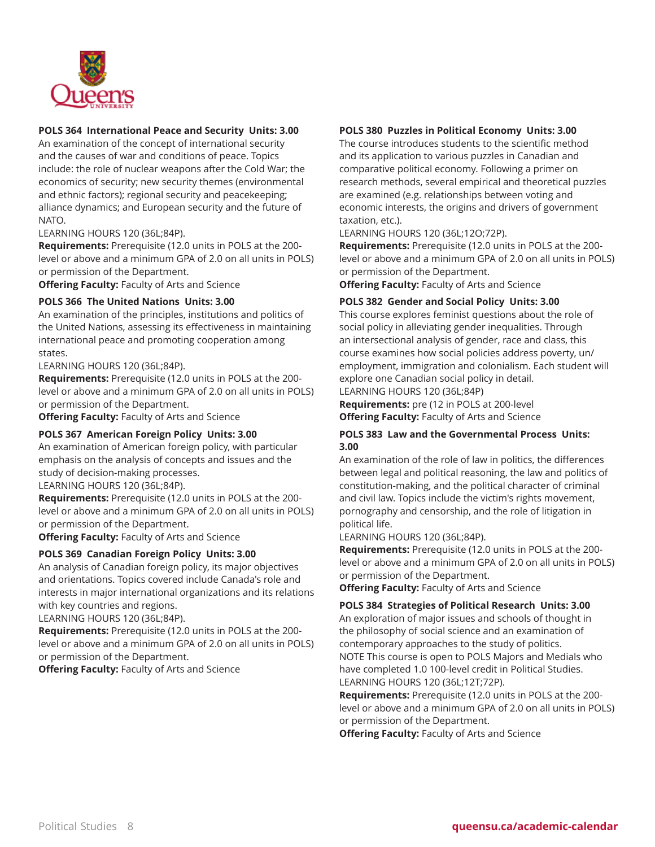

### **POLS 364 International Peace and Security Units: 3.00**

An examination of the concept of international security and the causes of war and conditions of peace. Topics include: the role of nuclear weapons after the Cold War; the economics of security; new security themes (environmental and ethnic factors); regional security and peacekeeping; alliance dynamics; and European security and the future of NATO.

#### LEARNING HOURS 120 (36L;84P).

**Requirements:** Prerequisite (12.0 units in POLS at the 200 level or above and a minimum GPA of 2.0 on all units in POLS) or permission of the Department.

**Offering Faculty:** Faculty of Arts and Science

#### **POLS 366 The United Nations Units: 3.00**

An examination of the principles, institutions and politics of the United Nations, assessing its effectiveness in maintaining international peace and promoting cooperation among states.

LEARNING HOURS 120 (36L;84P).

**Requirements:** Prerequisite (12.0 units in POLS at the 200 level or above and a minimum GPA of 2.0 on all units in POLS) or permission of the Department.

**Offering Faculty:** Faculty of Arts and Science

#### **POLS 367 American Foreign Policy Units: 3.00**

An examination of American foreign policy, with particular emphasis on the analysis of concepts and issues and the study of decision-making processes.

LEARNING HOURS 120 (36L;84P).

**Requirements:** Prerequisite (12.0 units in POLS at the 200 level or above and a minimum GPA of 2.0 on all units in POLS) or permission of the Department.

**Offering Faculty:** Faculty of Arts and Science

#### **POLS 369 Canadian Foreign Policy Units: 3.00**

An analysis of Canadian foreign policy, its major objectives and orientations. Topics covered include Canada's role and interests in major international organizations and its relations with key countries and regions.

#### LEARNING HOURS 120 (36L;84P).

**Requirements:** Prerequisite (12.0 units in POLS at the 200 level or above and a minimum GPA of 2.0 on all units in POLS) or permission of the Department.

**Offering Faculty:** Faculty of Arts and Science

#### **POLS 380 Puzzles in Political Economy Units: 3.00**

The course introduces students to the scientific method and its application to various puzzles in Canadian and comparative political economy. Following a primer on research methods, several empirical and theoretical puzzles are examined (e.g. relationships between voting and economic interests, the origins and drivers of government taxation, etc.).

LEARNING HOURS 120 (36L;12O;72P).

**Requirements:** Prerequisite (12.0 units in POLS at the 200 level or above and a minimum GPA of 2.0 on all units in POLS) or permission of the Department.

**Offering Faculty:** Faculty of Arts and Science

#### **POLS 382 Gender and Social Policy Units: 3.00**

This course explores feminist questions about the role of social policy in alleviating gender inequalities. Through an intersectional analysis of gender, race and class, this course examines how social policies address poverty, un/ employment, immigration and colonialism. Each student will explore one Canadian social policy in detail.

LEARNING HOURS 120 (36L;84P) **Requirements:** pre (12 in POLS at 200-level **Offering Faculty:** Faculty of Arts and Science

### **POLS 383 Law and the Governmental Process Units: 3.00**

An examination of the role of law in politics, the differences between legal and political reasoning, the law and politics of constitution-making, and the political character of criminal and civil law. Topics include the victim's rights movement, pornography and censorship, and the role of litigation in political life.

LEARNING HOURS 120 (36L;84P).

**Requirements:** Prerequisite (12.0 units in POLS at the 200 level or above and a minimum GPA of 2.0 on all units in POLS) or permission of the Department.

**Offering Faculty:** Faculty of Arts and Science

#### **POLS 384 Strategies of Political Research Units: 3.00**

An exploration of major issues and schools of thought in the philosophy of social science and an examination of contemporary approaches to the study of politics. NOTE This course is open to POLS Majors and Medials who have completed 1.0 100-level credit in Political Studies. LEARNING HOURS 120 (36L;12T;72P).

**Requirements:** Prerequisite (12.0 units in POLS at the 200 level or above and a minimum GPA of 2.0 on all units in POLS) or permission of the Department.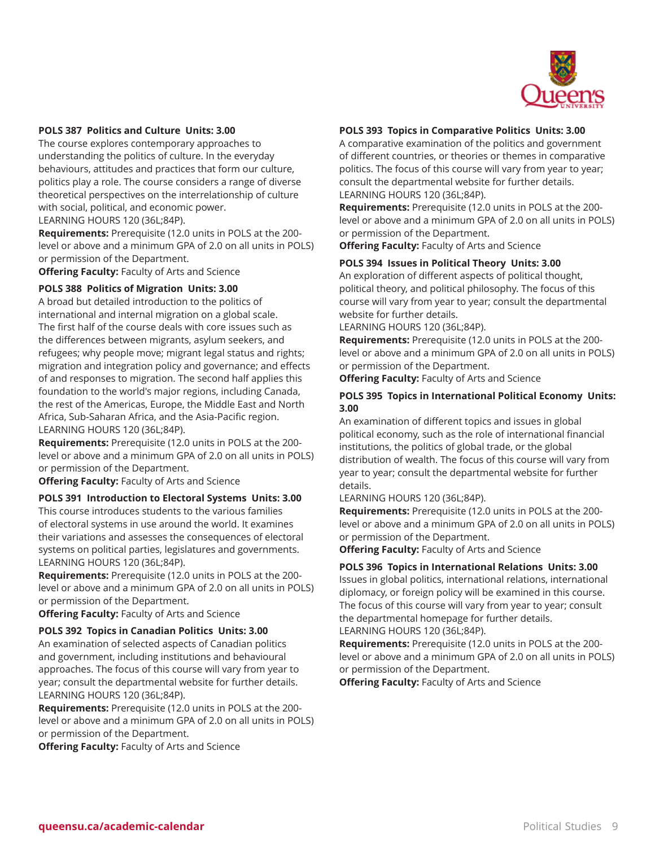

#### **POLS 387 Politics and Culture Units: 3.00**

The course explores contemporary approaches to understanding the politics of culture. In the everyday behaviours, attitudes and practices that form our culture, politics play a role. The course considers a range of diverse theoretical perspectives on the interrelationship of culture with social, political, and economic power. LEARNING HOURS 120 (36L;84P).

**Requirements:** Prerequisite (12.0 units in POLS at the 200 level or above and a minimum GPA of 2.0 on all units in POLS) or permission of the Department.

**Offering Faculty:** Faculty of Arts and Science

#### **POLS 388 Politics of Migration Units: 3.00**

A broad but detailed introduction to the politics of international and internal migration on a global scale. The first half of the course deals with core issues such as the differences between migrants, asylum seekers, and refugees; why people move; migrant legal status and rights; migration and integration policy and governance; and effects of and responses to migration. The second half applies this foundation to the world's major regions, including Canada, the rest of the Americas, Europe, the Middle East and North Africa, Sub-Saharan Africa, and the Asia-Pacific region. LEARNING HOURS 120 (36L;84P).

**Requirements:** Prerequisite (12.0 units in POLS at the 200 level or above and a minimum GPA of 2.0 on all units in POLS) or permission of the Department.

**Offering Faculty:** Faculty of Arts and Science

#### **POLS 391 Introduction to Electoral Systems Units: 3.00**

This course introduces students to the various families of electoral systems in use around the world. It examines their variations and assesses the consequences of electoral systems on political parties, legislatures and governments. LEARNING HOURS 120 (36L;84P).

**Requirements:** Prerequisite (12.0 units in POLS at the 200 level or above and a minimum GPA of 2.0 on all units in POLS) or permission of the Department.

**Offering Faculty:** Faculty of Arts and Science

#### **POLS 392 Topics in Canadian Politics Units: 3.00**

An examination of selected aspects of Canadian politics and government, including institutions and behavioural approaches. The focus of this course will vary from year to year; consult the departmental website for further details. LEARNING HOURS 120 (36L;84P).

**Requirements:** Prerequisite (12.0 units in POLS at the 200 level or above and a minimum GPA of 2.0 on all units in POLS) or permission of the Department.

**Offering Faculty:** Faculty of Arts and Science

#### **POLS 393 Topics in Comparative Politics Units: 3.00**

A comparative examination of the politics and government of different countries, or theories or themes in comparative politics. The focus of this course will vary from year to year; consult the departmental website for further details. LEARNING HOURS 120 (36L;84P).

**Requirements:** Prerequisite (12.0 units in POLS at the 200 level or above and a minimum GPA of 2.0 on all units in POLS) or permission of the Department.

**Offering Faculty:** Faculty of Arts and Science

#### **POLS 394 Issues in Political Theory Units: 3.00**

An exploration of different aspects of political thought, political theory, and political philosophy. The focus of this course will vary from year to year; consult the departmental website for further details.

LEARNING HOURS 120 (36L;84P).

**Requirements:** Prerequisite (12.0 units in POLS at the 200 level or above and a minimum GPA of 2.0 on all units in POLS) or permission of the Department.

**Offering Faculty:** Faculty of Arts and Science

#### **POLS 395 Topics in International Political Economy Units: 3.00**

An examination of different topics and issues in global political economy, such as the role of international financial institutions, the politics of global trade, or the global distribution of wealth. The focus of this course will vary from year to year; consult the departmental website for further details.

LEARNING HOURS 120 (36L;84P).

**Requirements:** Prerequisite (12.0 units in POLS at the 200 level or above and a minimum GPA of 2.0 on all units in POLS) or permission of the Department.

**Offering Faculty:** Faculty of Arts and Science

#### **POLS 396 Topics in International Relations Units: 3.00**

Issues in global politics, international relations, international diplomacy, or foreign policy will be examined in this course. The focus of this course will vary from year to year; consult the departmental homepage for further details. LEARNING HOURS 120 (36L;84P).

**Requirements:** Prerequisite (12.0 units in POLS at the 200 level or above and a minimum GPA of 2.0 on all units in POLS) or permission of the Department.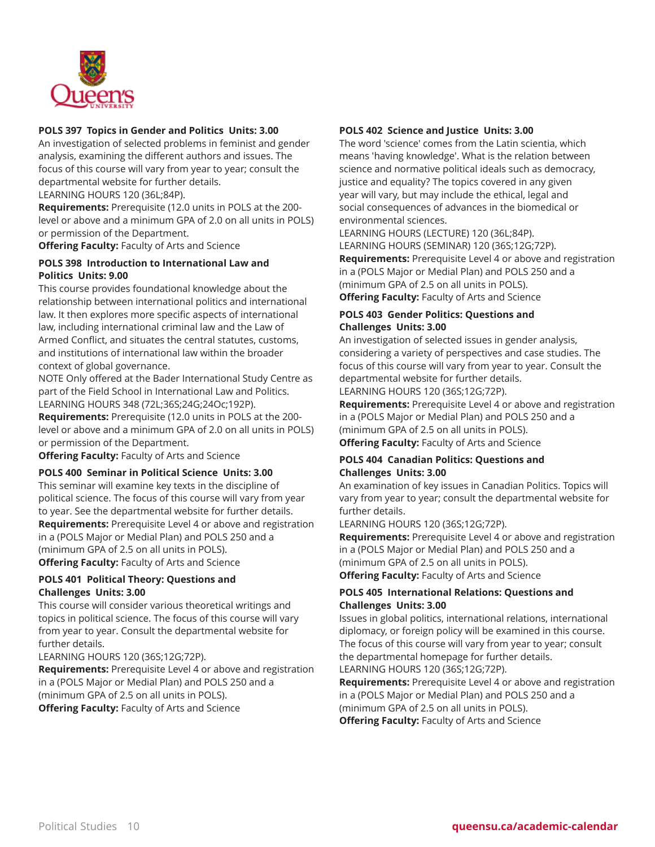

#### **POLS 397 Topics in Gender and Politics Units: 3.00**

An investigation of selected problems in feminist and gender analysis, examining the different authors and issues. The focus of this course will vary from year to year; consult the departmental website for further details.

LEARNING HOURS 120 (36L;84P).

**Requirements:** Prerequisite (12.0 units in POLS at the 200 level or above and a minimum GPA of 2.0 on all units in POLS) or permission of the Department.

**Offering Faculty:** Faculty of Arts and Science

### **POLS 398 Introduction to International Law and Politics Units: 9.00**

This course provides foundational knowledge about the relationship between international politics and international law. It then explores more specific aspects of international law, including international criminal law and the Law of Armed Conflict, and situates the central statutes, customs, and institutions of international law within the broader context of global governance.

NOTE Only offered at the Bader International Study Centre as part of the Field School in International Law and Politics. LEARNING HOURS 348 (72L;36S;24G;24Oc;192P).

**Requirements:** Prerequisite (12.0 units in POLS at the 200 level or above and a minimum GPA of 2.0 on all units in POLS) or permission of the Department.

**Offering Faculty:** Faculty of Arts and Science

#### **POLS 400 Seminar in Political Science Units: 3.00**

This seminar will examine key texts in the discipline of political science. The focus of this course will vary from year to year. See the departmental website for further details. **Requirements:** Prerequisite Level 4 or above and registration in a (POLS Major or Medial Plan) and POLS 250 and a (minimum GPA of 2.5 on all units in POLS).

**Offering Faculty:** Faculty of Arts and Science

# **POLS 401 Political Theory: Questions and Challenges Units: 3.00**

This course will consider various theoretical writings and topics in political science. The focus of this course will vary from year to year. Consult the departmental website for further details.

LEARNING HOURS 120 (36S;12G;72P).

**Requirements:** Prerequisite Level 4 or above and registration in a (POLS Major or Medial Plan) and POLS 250 and a (minimum GPA of 2.5 on all units in POLS). **Offering Faculty:** Faculty of Arts and Science

#### **POLS 402 Science and Justice Units: 3.00**

The word 'science' comes from the Latin scientia, which means 'having knowledge'. What is the relation between science and normative political ideals such as democracy, justice and equality? The topics covered in any given year will vary, but may include the ethical, legal and social consequences of advances in the biomedical or environmental sciences.

LEARNING HOURS (LECTURE) 120 (36L;84P). LEARNING HOURS (SEMINAR) 120 (36S;12G;72P). **Requirements:** Prerequisite Level 4 or above and registration in a (POLS Major or Medial Plan) and POLS 250 and a (minimum GPA of 2.5 on all units in POLS).

**Offering Faculty:** Faculty of Arts and Science

### **POLS 403 Gender Politics: Questions and Challenges Units: 3.00**

An investigation of selected issues in gender analysis, considering a variety of perspectives and case studies. The focus of this course will vary from year to year. Consult the departmental website for further details.

LEARNING HOURS 120 (36S;12G;72P).

**Requirements:** Prerequisite Level 4 or above and registration in a (POLS Major or Medial Plan) and POLS 250 and a (minimum GPA of 2.5 on all units in POLS). **Offering Faculty:** Faculty of Arts and Science

# **POLS 404 Canadian Politics: Questions and Challenges Units: 3.00**

An examination of key issues in Canadian Politics. Topics will vary from year to year; consult the departmental website for further details.

LEARNING HOURS 120 (36S;12G;72P).

**Requirements:** Prerequisite Level 4 or above and registration in a (POLS Major or Medial Plan) and POLS 250 and a (minimum GPA of 2.5 on all units in POLS). **Offering Faculty:** Faculty of Arts and Science

### **POLS 405 International Relations: Questions and Challenges Units: 3.00**

Issues in global politics, international relations, international diplomacy, or foreign policy will be examined in this course. The focus of this course will vary from year to year; consult the departmental homepage for further details. LEARNING HOURS 120 (36S;12G;72P).

**Requirements:** Prerequisite Level 4 or above and registration in a (POLS Major or Medial Plan) and POLS 250 and a (minimum GPA of 2.5 on all units in POLS). **Offering Faculty:** Faculty of Arts and Science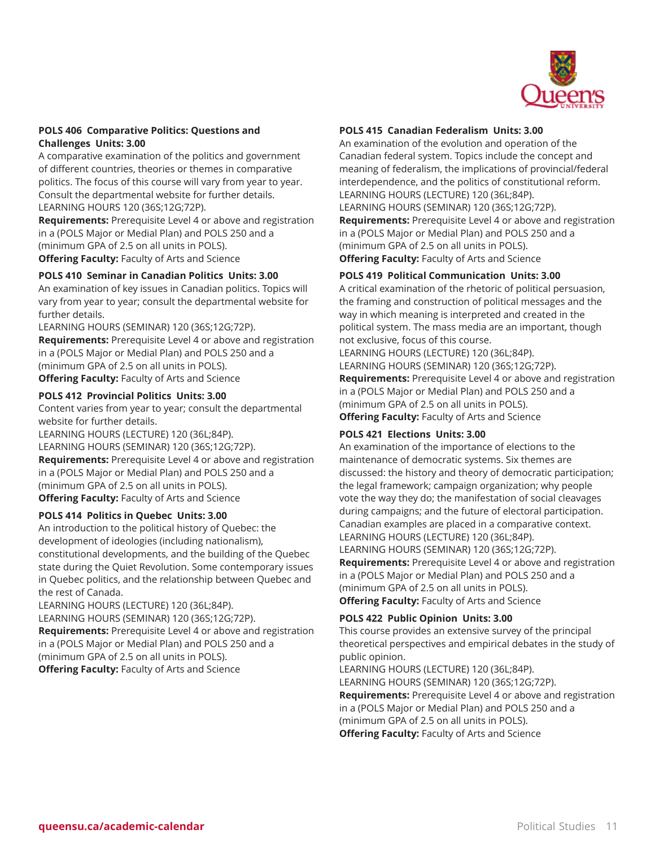

#### **POLS 406 Comparative Politics: Questions and Challenges Units: 3.00**

A comparative examination of the politics and government of different countries, theories or themes in comparative politics. The focus of this course will vary from year to year. Consult the departmental website for further details. LEARNING HOURS 120 (36S;12G;72P).

**Requirements:** Prerequisite Level 4 or above and registration in a (POLS Major or Medial Plan) and POLS 250 and a (minimum GPA of 2.5 on all units in POLS).

**Offering Faculty:** Faculty of Arts and Science

# **POLS 410 Seminar in Canadian Politics Units: 3.00**

An examination of key issues in Canadian politics. Topics will vary from year to year; consult the departmental website for further details.

LEARNING HOURS (SEMINAR) 120 (36S;12G;72P). **Requirements:** Prerequisite Level 4 or above and registration in a (POLS Major or Medial Plan) and POLS 250 and a (minimum GPA of 2.5 on all units in POLS). **Offering Faculty:** Faculty of Arts and Science

#### **POLS 412 Provincial Politics Units: 3.00**

Content varies from year to year; consult the departmental website for further details.

LEARNING HOURS (LECTURE) 120 (36L;84P). LEARNING HOURS (SEMINAR) 120 (36S;12G;72P). **Requirements:** Prerequisite Level 4 or above and registration in a (POLS Major or Medial Plan) and POLS 250 and a (minimum GPA of 2.5 on all units in POLS). **Offering Faculty:** Faculty of Arts and Science

#### **POLS 414 Politics in Quebec Units: 3.00**

An introduction to the political history of Quebec: the development of ideologies (including nationalism), constitutional developments, and the building of the Quebec state during the Quiet Revolution. Some contemporary issues in Quebec politics, and the relationship between Quebec and the rest of Canada.

LEARNING HOURS (LECTURE) 120 (36L;84P).

LEARNING HOURS (SEMINAR) 120 (36S;12G;72P).

**Requirements:** Prerequisite Level 4 or above and registration in a (POLS Major or Medial Plan) and POLS 250 and a (minimum GPA of 2.5 on all units in POLS).

**Offering Faculty:** Faculty of Arts and Science

#### **POLS 415 Canadian Federalism Units: 3.00**

An examination of the evolution and operation of the Canadian federal system. Topics include the concept and meaning of federalism, the implications of provincial/federal interdependence, and the politics of constitutional reform. LEARNING HOURS (LECTURE) 120 (36L;84P). LEARNING HOURS (SEMINAR) 120 (36S;12G;72P). **Requirements:** Prerequisite Level 4 or above and registration in a (POLS Major or Medial Plan) and POLS 250 and a (minimum GPA of 2.5 on all units in POLS).

**Offering Faculty:** Faculty of Arts and Science

### **POLS 419 Political Communication Units: 3.00**

A critical examination of the rhetoric of political persuasion, the framing and construction of political messages and the way in which meaning is interpreted and created in the political system. The mass media are an important, though not exclusive, focus of this course.

LEARNING HOURS (LECTURE) 120 (36L;84P). LEARNING HOURS (SEMINAR) 120 (36S;12G;72P). **Requirements:** Prerequisite Level 4 or above and registration in a (POLS Major or Medial Plan) and POLS 250 and a (minimum GPA of 2.5 on all units in POLS). **Offering Faculty:** Faculty of Arts and Science

# **POLS 421 Elections Units: 3.00**

An examination of the importance of elections to the maintenance of democratic systems. Six themes are discussed: the history and theory of democratic participation; the legal framework; campaign organization; why people vote the way they do; the manifestation of social cleavages during campaigns; and the future of electoral participation. Canadian examples are placed in a comparative context. LEARNING HOURS (LECTURE) 120 (36L;84P).

LEARNING HOURS (SEMINAR) 120 (36S;12G;72P). **Requirements:** Prerequisite Level 4 or above and registration in a (POLS Major or Medial Plan) and POLS 250 and a (minimum GPA of 2.5 on all units in POLS). **Offering Faculty:** Faculty of Arts and Science

#### **POLS 422 Public Opinion Units: 3.00**

This course provides an extensive survey of the principal theoretical perspectives and empirical debates in the study of public opinion.

LEARNING HOURS (LECTURE) 120 (36L;84P). LEARNING HOURS (SEMINAR) 120 (36S;12G;72P). **Requirements:** Prerequisite Level 4 or above and registration in a (POLS Major or Medial Plan) and POLS 250 and a (minimum GPA of 2.5 on all units in POLS). **Offering Faculty:** Faculty of Arts and Science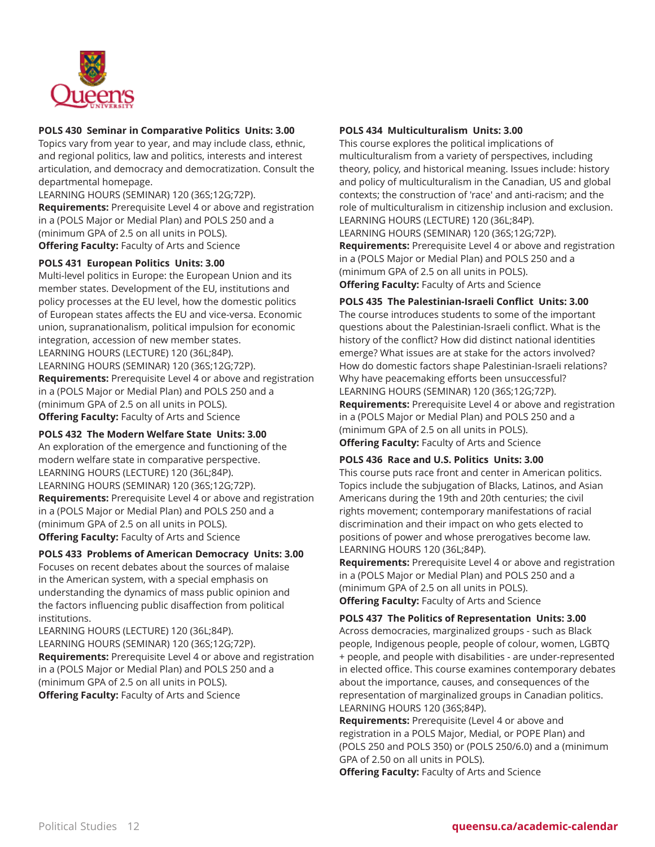

### **POLS 430 Seminar in Comparative Politics Units: 3.00**

Topics vary from year to year, and may include class, ethnic, and regional politics, law and politics, interests and interest articulation, and democracy and democratization. Consult the departmental homepage.

LEARNING HOURS (SEMINAR) 120 (36S;12G;72P). **Requirements:** Prerequisite Level 4 or above and registration in a (POLS Major or Medial Plan) and POLS 250 and a (minimum GPA of 2.5 on all units in POLS). **Offering Faculty:** Faculty of Arts and Science

### **POLS 431 European Politics Units: 3.00**

Multi-level politics in Europe: the European Union and its member states. Development of the EU, institutions and policy processes at the EU level, how the domestic politics of European states affects the EU and vice-versa. Economic union, supranationalism, political impulsion for economic integration, accession of new member states. LEARNING HOURS (LECTURE) 120 (36L;84P). LEARNING HOURS (SEMINAR) 120 (36S;12G;72P). **Requirements:** Prerequisite Level 4 or above and registration in a (POLS Major or Medial Plan) and POLS 250 and a (minimum GPA of 2.5 on all units in POLS). **Offering Faculty:** Faculty of Arts and Science

# **POLS 432 The Modern Welfare State Units: 3.00**

An exploration of the emergence and functioning of the modern welfare state in comparative perspective. LEARNING HOURS (LECTURE) 120 (36L;84P). LEARNING HOURS (SEMINAR) 120 (36S;12G;72P). **Requirements:** Prerequisite Level 4 or above and registration in a (POLS Major or Medial Plan) and POLS 250 and a (minimum GPA of 2.5 on all units in POLS). **Offering Faculty:** Faculty of Arts and Science

#### **POLS 433 Problems of American Democracy Units: 3.00** Focuses on recent debates about the sources of malaise

in the American system, with a special emphasis on understanding the dynamics of mass public opinion and the factors influencing public disaffection from political institutions.

LEARNING HOURS (LECTURE) 120 (36L;84P). LEARNING HOURS (SEMINAR) 120 (36S;12G;72P). **Requirements:** Prerequisite Level 4 or above and registration in a (POLS Major or Medial Plan) and POLS 250 and a (minimum GPA of 2.5 on all units in POLS). **Offering Faculty:** Faculty of Arts and Science

#### **POLS 434 Multiculturalism Units: 3.00**

This course explores the political implications of multiculturalism from a variety of perspectives, including theory, policy, and historical meaning. Issues include: history and policy of multiculturalism in the Canadian, US and global contexts; the construction of 'race' and anti-racism; and the role of multiculturalism in citizenship inclusion and exclusion. LEARNING HOURS (LECTURE) 120 (36L;84P). LEARNING HOURS (SEMINAR) 120 (36S;12G;72P). **Requirements:** Prerequisite Level 4 or above and registration in a (POLS Major or Medial Plan) and POLS 250 and a (minimum GPA of 2.5 on all units in POLS). **Offering Faculty:** Faculty of Arts and Science

**POLS 435 The Palestinian-Israeli Conflict Units: 3.00**

The course introduces students to some of the important questions about the Palestinian-Israeli conflict. What is the history of the conflict? How did distinct national identities emerge? What issues are at stake for the actors involved? How do domestic factors shape Palestinian-Israeli relations? Why have peacemaking efforts been unsuccessful? LEARNING HOURS (SEMINAR) 120 (36S;12G;72P). **Requirements:** Prerequisite Level 4 or above and registration in a (POLS Major or Medial Plan) and POLS 250 and a (minimum GPA of 2.5 on all units in POLS). **Offering Faculty:** Faculty of Arts and Science

# **POLS 436 Race and U.S. Politics Units: 3.00**

This course puts race front and center in American politics. Topics include the subjugation of Blacks, Latinos, and Asian Americans during the 19th and 20th centuries; the civil rights movement; contemporary manifestations of racial discrimination and their impact on who gets elected to positions of power and whose prerogatives become law. LEARNING HOURS 120 (36L;84P).

**Requirements:** Prerequisite Level 4 or above and registration in a (POLS Major or Medial Plan) and POLS 250 and a (minimum GPA of 2.5 on all units in POLS). **Offering Faculty:** Faculty of Arts and Science

**POLS 437 The Politics of Representation Units: 3.00** Across democracies, marginalized groups - such as Black people, Indigenous people, people of colour, women, LGBTQ + people, and people with disabilities - are under-represented in elected office. This course examines contemporary debates about the importance, causes, and consequences of the representation of marginalized groups in Canadian politics. LEARNING HOURS 120 (36S;84P).

**Requirements:** Prerequisite (Level 4 or above and registration in a POLS Major, Medial, or POPE Plan) and (POLS 250 and POLS 350) or (POLS 250/6.0) and a (minimum GPA of 2.50 on all units in POLS).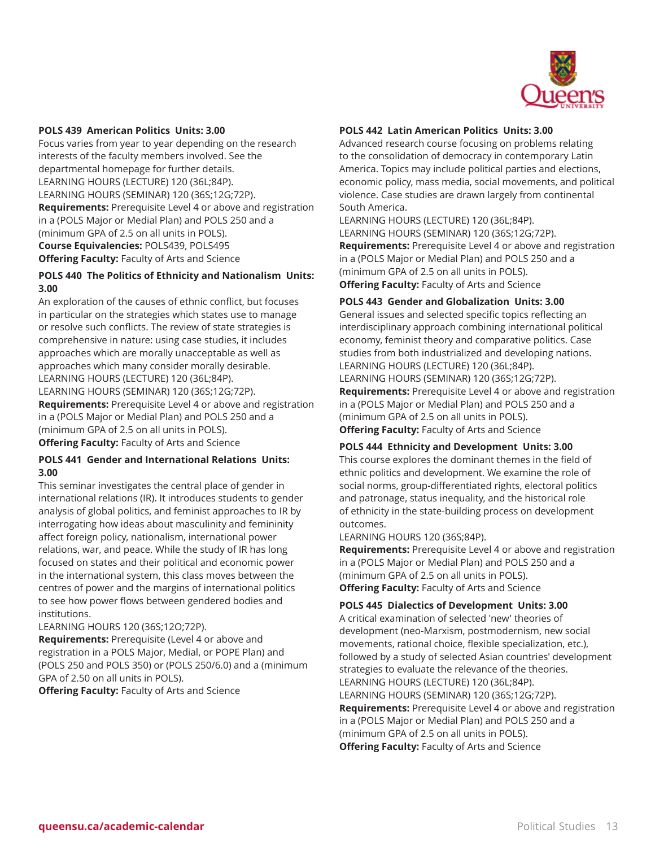

#### **POLS 439 American Politics Units: 3.00**

Focus varies from year to year depending on the research interests of the faculty members involved. See the departmental homepage for further details. LEARNING HOURS (LECTURE) 120 (36L;84P). LEARNING HOURS (SEMINAR) 120 (36S;12G;72P). **Requirements:** Prerequisite Level 4 or above and registration in a (POLS Major or Medial Plan) and POLS 250 and a (minimum GPA of 2.5 on all units in POLS). **Course Equivalencies:** POLS439, POLS495 **Offering Faculty:** Faculty of Arts and Science

# **POLS 440 The Politics of Ethnicity and Nationalism Units: 3.00**

An exploration of the causes of ethnic conflict, but focuses in particular on the strategies which states use to manage or resolve such conflicts. The review of state strategies is comprehensive in nature: using case studies, it includes approaches which are morally unacceptable as well as approaches which many consider morally desirable. LEARNING HOURS (LECTURE) 120 (36L;84P). LEARNING HOURS (SEMINAR) 120 (36S;12G;72P). **Requirements:** Prerequisite Level 4 or above and registration in a (POLS Major or Medial Plan) and POLS 250 and a (minimum GPA of 2.5 on all units in POLS).

# **Offering Faculty:** Faculty of Arts and Science

#### **POLS 441 Gender and International Relations Units: 3.00**

This seminar investigates the central place of gender in international relations (IR). It introduces students to gender analysis of global politics, and feminist approaches to IR by interrogating how ideas about masculinity and femininity affect foreign policy, nationalism, international power relations, war, and peace. While the study of IR has long focused on states and their political and economic power in the international system, this class moves between the centres of power and the margins of international politics to see how power flows between gendered bodies and institutions.

#### LEARNING HOURS 120 (36S;12O;72P).

**Requirements:** Prerequisite (Level 4 or above and registration in a POLS Major, Medial, or POPE Plan) and (POLS 250 and POLS 350) or (POLS 250/6.0) and a (minimum GPA of 2.50 on all units in POLS).

**Offering Faculty:** Faculty of Arts and Science

#### **POLS 442 Latin American Politics Units: 3.00**

Advanced research course focusing on problems relating to the consolidation of democracy in contemporary Latin America. Topics may include political parties and elections, economic policy, mass media, social movements, and political violence. Case studies are drawn largely from continental South America.

LEARNING HOURS (LECTURE) 120 (36L;84P). LEARNING HOURS (SEMINAR) 120 (36S;12G;72P). **Requirements:** Prerequisite Level 4 or above and registration in a (POLS Major or Medial Plan) and POLS 250 and a (minimum GPA of 2.5 on all units in POLS). **Offering Faculty:** Faculty of Arts and Science

#### **POLS 443 Gender and Globalization Units: 3.00**

General issues and selected specific topics reflecting an interdisciplinary approach combining international political economy, feminist theory and comparative politics. Case studies from both industrialized and developing nations. LEARNING HOURS (LECTURE) 120 (36L;84P). LEARNING HOURS (SEMINAR) 120 (36S;12G;72P). **Requirements:** Prerequisite Level 4 or above and registration in a (POLS Major or Medial Plan) and POLS 250 and a (minimum GPA of 2.5 on all units in POLS). **Offering Faculty:** Faculty of Arts and Science

# **POLS 444 Ethnicity and Development Units: 3.00**

This course explores the dominant themes in the field of ethnic politics and development. We examine the role of social norms, group-differentiated rights, electoral politics and patronage, status inequality, and the historical role of ethnicity in the state-building process on development outcomes.

LEARNING HOURS 120 (36S;84P).

**Requirements:** Prerequisite Level 4 or above and registration in a (POLS Major or Medial Plan) and POLS 250 and a (minimum GPA of 2.5 on all units in POLS). **Offering Faculty:** Faculty of Arts and Science

#### **POLS 445 Dialectics of Development Units: 3.00**

A critical examination of selected 'new' theories of development (neo-Marxism, postmodernism, new social movements, rational choice, flexible specialization, etc.), followed by a study of selected Asian countries' development strategies to evaluate the relevance of the theories. LEARNING HOURS (LECTURE) 120 (36L;84P). LEARNING HOURS (SEMINAR) 120 (36S;12G;72P). **Requirements:** Prerequisite Level 4 or above and registration in a (POLS Major or Medial Plan) and POLS 250 and a (minimum GPA of 2.5 on all units in POLS). **Offering Faculty:** Faculty of Arts and Science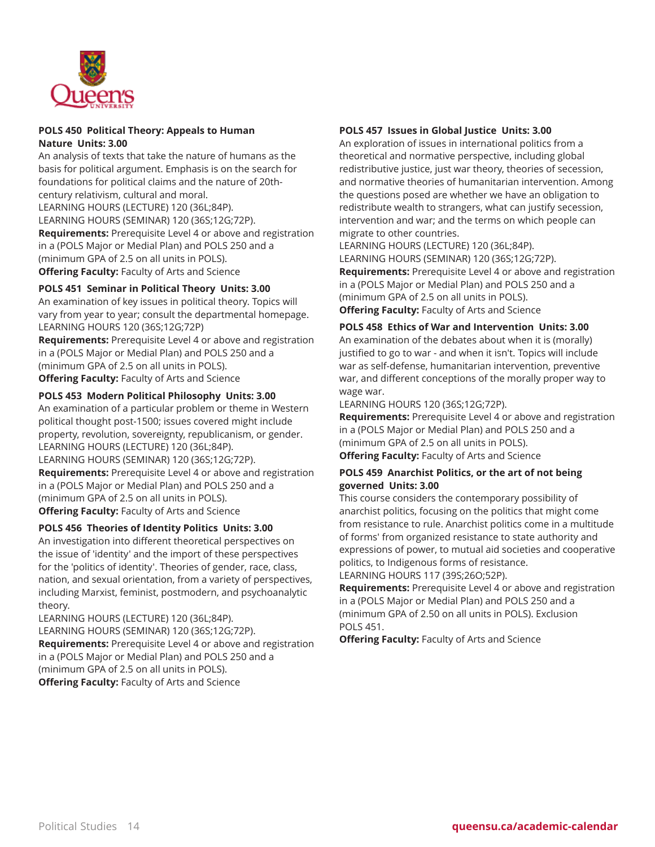

#### **POLS 450 Political Theory: Appeals to Human Nature Units: 3.00**

An analysis of texts that take the nature of humans as the basis for political argument. Emphasis is on the search for foundations for political claims and the nature of 20thcentury relativism, cultural and moral. LEARNING HOURS (LECTURE) 120 (36L;84P).

LEARNING HOURS (SEMINAR) 120 (36S;12G;72P). **Requirements:** Prerequisite Level 4 or above and registration in a (POLS Major or Medial Plan) and POLS 250 and a (minimum GPA of 2.5 on all units in POLS). **Offering Faculty:** Faculty of Arts and Science

# **POLS 451 Seminar in Political Theory Units: 3.00**

An examination of key issues in political theory. Topics will vary from year to year; consult the departmental homepage. LEARNING HOURS 120 (36S;12G;72P)

**Requirements:** Prerequisite Level 4 or above and registration in a (POLS Major or Medial Plan) and POLS 250 and a (minimum GPA of 2.5 on all units in POLS). **Offering Faculty:** Faculty of Arts and Science

# **POLS 453 Modern Political Philosophy Units: 3.00**

An examination of a particular problem or theme in Western political thought post-1500; issues covered might include property, revolution, sovereignty, republicanism, or gender. LEARNING HOURS (LECTURE) 120 (36L;84P). LEARNING HOURS (SEMINAR) 120 (36S;12G;72P). **Requirements:** Prerequisite Level 4 or above and registration in a (POLS Major or Medial Plan) and POLS 250 and a (minimum GPA of 2.5 on all units in POLS). **Offering Faculty:** Faculty of Arts and Science

#### **POLS 456 Theories of Identity Politics Units: 3.00**

An investigation into different theoretical perspectives on the issue of 'identity' and the import of these perspectives for the 'politics of identity'. Theories of gender, race, class, nation, and sexual orientation, from a variety of perspectives, including Marxist, feminist, postmodern, and psychoanalytic theory.

LEARNING HOURS (LECTURE) 120 (36L;84P). LEARNING HOURS (SEMINAR) 120 (36S;12G;72P). **Requirements:** Prerequisite Level 4 or above and registration in a (POLS Major or Medial Plan) and POLS 250 and a (minimum GPA of 2.5 on all units in POLS). **Offering Faculty:** Faculty of Arts and Science

### **POLS 457 Issues in Global Justice Units: 3.00**

An exploration of issues in international politics from a theoretical and normative perspective, including global redistributive justice, just war theory, theories of secession, and normative theories of humanitarian intervention. Among the questions posed are whether we have an obligation to redistribute wealth to strangers, what can justify secession, intervention and war; and the terms on which people can migrate to other countries.

LEARNING HOURS (LECTURE) 120 (36L;84P). LEARNING HOURS (SEMINAR) 120 (36S;12G;72P). **Requirements:** Prerequisite Level 4 or above and registration in a (POLS Major or Medial Plan) and POLS 250 and a (minimum GPA of 2.5 on all units in POLS). **Offering Faculty:** Faculty of Arts and Science

#### **POLS 458 Ethics of War and Intervention Units: 3.00**

An examination of the debates about when it is (morally) justified to go to war - and when it isn't. Topics will include war as self-defense, humanitarian intervention, preventive war, and different conceptions of the morally proper way to wage war.

LEARNING HOURS 120 (36S;12G;72P).

**Requirements:** Prerequisite Level 4 or above and registration in a (POLS Major or Medial Plan) and POLS 250 and a (minimum GPA of 2.5 on all units in POLS).

**Offering Faculty:** Faculty of Arts and Science

#### **POLS 459 Anarchist Politics, or the art of not being governed Units: 3.00**

This course considers the contemporary possibility of anarchist politics, focusing on the politics that might come from resistance to rule. Anarchist politics come in a multitude of forms' from organized resistance to state authority and expressions of power, to mutual aid societies and cooperative politics, to Indigenous forms of resistance. LEARNING HOURS 117 (39S;26O;52P).

**Requirements:** Prerequisite Level 4 or above and registration in a (POLS Major or Medial Plan) and POLS 250 and a (minimum GPA of 2.50 on all units in POLS). Exclusion POLS 451.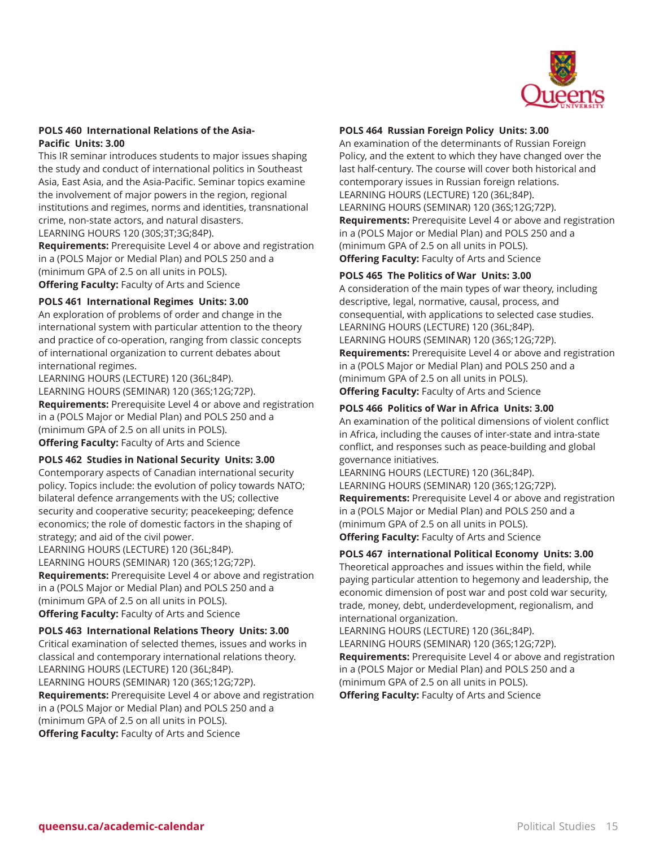

#### **POLS 460 International Relations of the Asia-Pacific Units: 3.00**

This IR seminar introduces students to major issues shaping the study and conduct of international politics in Southeast Asia, East Asia, and the Asia-Pacific. Seminar topics examine the involvement of major powers in the region, regional institutions and regimes, norms and identities, transnational crime, non-state actors, and natural disasters.

LEARNING HOURS 120 (30S;3T;3G;84P).

**Requirements:** Prerequisite Level 4 or above and registration in a (POLS Major or Medial Plan) and POLS 250 and a (minimum GPA of 2.5 on all units in POLS). **Offering Faculty:** Faculty of Arts and Science

### **POLS 461 International Regimes Units: 3.00**

An exploration of problems of order and change in the international system with particular attention to the theory and practice of co-operation, ranging from classic concepts of international organization to current debates about international regimes.

LEARNING HOURS (LECTURE) 120 (36L;84P). LEARNING HOURS (SEMINAR) 120 (36S;12G;72P). **Requirements:** Prerequisite Level 4 or above and registration in a (POLS Major or Medial Plan) and POLS 250 and a (minimum GPA of 2.5 on all units in POLS). **Offering Faculty:** Faculty of Arts and Science

#### **POLS 462 Studies in National Security Units: 3.00**

Contemporary aspects of Canadian international security policy. Topics include: the evolution of policy towards NATO; bilateral defence arrangements with the US; collective security and cooperative security; peacekeeping; defence economics; the role of domestic factors in the shaping of strategy; and aid of the civil power.

LEARNING HOURS (LECTURE) 120 (36L;84P). LEARNING HOURS (SEMINAR) 120 (36S;12G;72P). **Requirements:** Prerequisite Level 4 or above and registration in a (POLS Major or Medial Plan) and POLS 250 and a (minimum GPA of 2.5 on all units in POLS). **Offering Faculty:** Faculty of Arts and Science

#### **POLS 463 International Relations Theory Units: 3.00**

Critical examination of selected themes, issues and works in classical and contemporary international relations theory. LEARNING HOURS (LECTURE) 120 (36L;84P). LEARNING HOURS (SEMINAR) 120 (36S;12G;72P). **Requirements:** Prerequisite Level 4 or above and registration in a (POLS Major or Medial Plan) and POLS 250 and a (minimum GPA of 2.5 on all units in POLS). **Offering Faculty:** Faculty of Arts and Science

### **POLS 464 Russian Foreign Policy Units: 3.00**

An examination of the determinants of Russian Foreign Policy, and the extent to which they have changed over the last half-century. The course will cover both historical and contemporary issues in Russian foreign relations. LEARNING HOURS (LECTURE) 120 (36L;84P). LEARNING HOURS (SEMINAR) 120 (36S;12G;72P). **Requirements:** Prerequisite Level 4 or above and registration in a (POLS Major or Medial Plan) and POLS 250 and a (minimum GPA of 2.5 on all units in POLS). **Offering Faculty:** Faculty of Arts and Science

# **POLS 465 The Politics of War Units: 3.00**

A consideration of the main types of war theory, including descriptive, legal, normative, causal, process, and consequential, with applications to selected case studies. LEARNING HOURS (LECTURE) 120 (36L;84P). LEARNING HOURS (SEMINAR) 120 (36S;12G;72P). **Requirements:** Prerequisite Level 4 or above and registration in a (POLS Major or Medial Plan) and POLS 250 and a (minimum GPA of 2.5 on all units in POLS). **Offering Faculty:** Faculty of Arts and Science

### **POLS 466 Politics of War in Africa Units: 3.00**

An examination of the political dimensions of violent conflict in Africa, including the causes of inter-state and intra-state conflict, and responses such as peace-building and global governance initiatives.

LEARNING HOURS (LECTURE) 120 (36L;84P). LEARNING HOURS (SEMINAR) 120 (36S;12G;72P). **Requirements:** Prerequisite Level 4 or above and registration in a (POLS Major or Medial Plan) and POLS 250 and a (minimum GPA of 2.5 on all units in POLS). **Offering Faculty:** Faculty of Arts and Science

# **POLS 467 international Political Economy Units: 3.00**

Theoretical approaches and issues within the field, while paying particular attention to hegemony and leadership, the economic dimension of post war and post cold war security, trade, money, debt, underdevelopment, regionalism, and international organization.

LEARNING HOURS (LECTURE) 120 (36L;84P). LEARNING HOURS (SEMINAR) 120 (36S;12G;72P). **Requirements:** Prerequisite Level 4 or above and registration in a (POLS Major or Medial Plan) and POLS 250 and a (minimum GPA of 2.5 on all units in POLS). **Offering Faculty:** Faculty of Arts and Science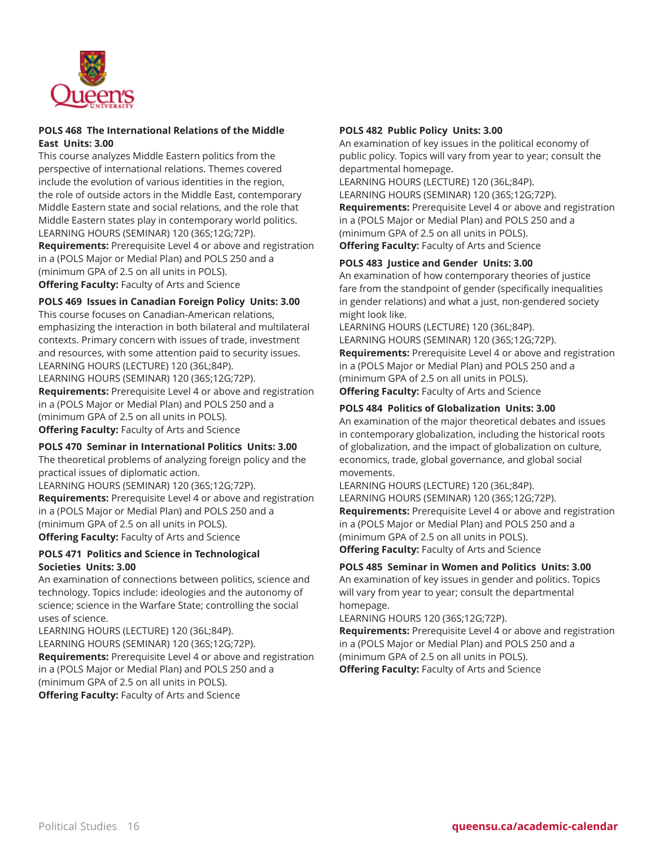

#### **POLS 468 The International Relations of the Middle East Units: 3.00**

This course analyzes Middle Eastern politics from the perspective of international relations. Themes covered include the evolution of various identities in the region, the role of outside actors in the Middle East, contemporary Middle Eastern state and social relations, and the role that Middle Eastern states play in contemporary world politics. LEARNING HOURS (SEMINAR) 120 (36S;12G;72P). **Requirements:** Prerequisite Level 4 or above and registration in a (POLS Major or Medial Plan) and POLS 250 and a

(minimum GPA of 2.5 on all units in POLS).

**Offering Faculty:** Faculty of Arts and Science

### **POLS 469 Issues in Canadian Foreign Policy Units: 3.00**

This course focuses on Canadian-American relations, emphasizing the interaction in both bilateral and multilateral contexts. Primary concern with issues of trade, investment and resources, with some attention paid to security issues. LEARNING HOURS (LECTURE) 120 (36L;84P). LEARNING HOURS (SEMINAR) 120 (36S;12G;72P).

**Requirements:** Prerequisite Level 4 or above and registration in a (POLS Major or Medial Plan) and POLS 250 and a (minimum GPA of 2.5 on all units in POLS). **Offering Faculty:** Faculty of Arts and Science

#### **POLS 470 Seminar in International Politics Units: 3.00**

The theoretical problems of analyzing foreign policy and the practical issues of diplomatic action.

LEARNING HOURS (SEMINAR) 120 (36S;12G;72P).

**Requirements:** Prerequisite Level 4 or above and registration in a (POLS Major or Medial Plan) and POLS 250 and a (minimum GPA of 2.5 on all units in POLS). **Offering Faculty:** Faculty of Arts and Science

# **POLS 471 Politics and Science in Technological Societies Units: 3.00**

An examination of connections between politics, science and technology. Topics include: ideologies and the autonomy of science; science in the Warfare State; controlling the social uses of science.

LEARNING HOURS (LECTURE) 120 (36L;84P). LEARNING HOURS (SEMINAR) 120 (36S;12G;72P). **Requirements:** Prerequisite Level 4 or above and registration in a (POLS Major or Medial Plan) and POLS 250 and a (minimum GPA of 2.5 on all units in POLS). **Offering Faculty:** Faculty of Arts and Science

#### **POLS 482 Public Policy Units: 3.00**

An examination of key issues in the political economy of public policy. Topics will vary from year to year; consult the departmental homepage.

LEARNING HOURS (LECTURE) 120 (36L;84P).

LEARNING HOURS (SEMINAR) 120 (36S;12G;72P). **Requirements:** Prerequisite Level 4 or above and registration

in a (POLS Major or Medial Plan) and POLS 250 and a

(minimum GPA of 2.5 on all units in POLS).

**Offering Faculty:** Faculty of Arts and Science

#### **POLS 483 Justice and Gender Units: 3.00**

An examination of how contemporary theories of justice fare from the standpoint of gender (specifically inequalities in gender relations) and what a just, non-gendered society might look like.

LEARNING HOURS (LECTURE) 120 (36L;84P). LEARNING HOURS (SEMINAR) 120 (36S;12G;72P). **Requirements:** Prerequisite Level 4 or above and registration in a (POLS Major or Medial Plan) and POLS 250 and a (minimum GPA of 2.5 on all units in POLS). **Offering Faculty:** Faculty of Arts and Science

### **POLS 484 Politics of Globalization Units: 3.00**

An examination of the major theoretical debates and issues in contemporary globalization, including the historical roots of globalization, and the impact of globalization on culture, economics, trade, global governance, and global social movements.

LEARNING HOURS (LECTURE) 120 (36L;84P). LEARNING HOURS (SEMINAR) 120 (36S;12G;72P). **Requirements:** Prerequisite Level 4 or above and registration in a (POLS Major or Medial Plan) and POLS 250 and a (minimum GPA of 2.5 on all units in POLS). **Offering Faculty:** Faculty of Arts and Science

#### **POLS 485 Seminar in Women and Politics Units: 3.00**

An examination of key issues in gender and politics. Topics will vary from year to year; consult the departmental homepage.

LEARNING HOURS 120 (36S;12G;72P).

**Requirements:** Prerequisite Level 4 or above and registration in a (POLS Major or Medial Plan) and POLS 250 and a (minimum GPA of 2.5 on all units in POLS). **Offering Faculty:** Faculty of Arts and Science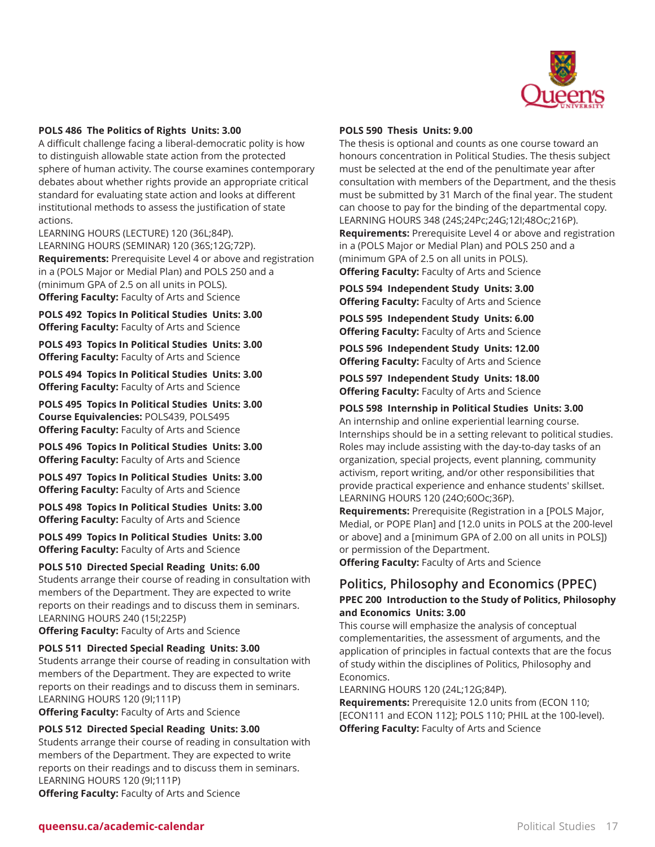

#### **POLS 486 The Politics of Rights Units: 3.00**

A difficult challenge facing a liberal-democratic polity is how to distinguish allowable state action from the protected sphere of human activity. The course examines contemporary debates about whether rights provide an appropriate critical standard for evaluating state action and looks at different institutional methods to assess the justification of state actions.

LEARNING HOURS (LECTURE) 120 (36L;84P). LEARNING HOURS (SEMINAR) 120 (36S;12G;72P). **Requirements:** Prerequisite Level 4 or above and registration in a (POLS Major or Medial Plan) and POLS 250 and a (minimum GPA of 2.5 on all units in POLS). **Offering Faculty:** Faculty of Arts and Science

**POLS 492 Topics In Political Studies Units: 3.00 Offering Faculty:** Faculty of Arts and Science

**POLS 493 Topics In Political Studies Units: 3.00 Offering Faculty:** Faculty of Arts and Science

**POLS 494 Topics In Political Studies Units: 3.00 Offering Faculty:** Faculty of Arts and Science

**POLS 495 Topics In Political Studies Units: 3.00 Course Equivalencies:** POLS439, POLS495 **Offering Faculty:** Faculty of Arts and Science

**POLS 496 Topics In Political Studies Units: 3.00 Offering Faculty:** Faculty of Arts and Science

**POLS 497 Topics In Political Studies Units: 3.00 Offering Faculty:** Faculty of Arts and Science

**POLS 498 Topics In Political Studies Units: 3.00 Offering Faculty:** Faculty of Arts and Science

**POLS 499 Topics In Political Studies Units: 3.00 Offering Faculty:** Faculty of Arts and Science

#### **POLS 510 Directed Special Reading Units: 6.00**

Students arrange their course of reading in consultation with members of the Department. They are expected to write reports on their readings and to discuss them in seminars. LEARNING HOURS 240 (15I;225P)

**Offering Faculty:** Faculty of Arts and Science

#### **POLS 511 Directed Special Reading Units: 3.00**

Students arrange their course of reading in consultation with members of the Department. They are expected to write reports on their readings and to discuss them in seminars. LEARNING HOURS 120 (9I;111P)

**Offering Faculty:** Faculty of Arts and Science

# **POLS 512 Directed Special Reading Units: 3.00**

Students arrange their course of reading in consultation with members of the Department. They are expected to write reports on their readings and to discuss them in seminars. LEARNING HOURS 120 (9I;111P) **Offering Faculty:** Faculty of Arts and Science

#### **POLS 590 Thesis Units: 9.00**

The thesis is optional and counts as one course toward an honours concentration in Political Studies. The thesis subject must be selected at the end of the penultimate year after consultation with members of the Department, and the thesis must be submitted by 31 March of the final year. The student can choose to pay for the binding of the departmental copy. LEARNING HOURS 348 (24S;24Pc;24G;12I;48Oc;216P). **Requirements:** Prerequisite Level 4 or above and registration in a (POLS Major or Medial Plan) and POLS 250 and a (minimum GPA of 2.5 on all units in POLS).

**Offering Faculty:** Faculty of Arts and Science

**POLS 594 Independent Study Units: 3.00 Offering Faculty:** Faculty of Arts and Science

**POLS 595 Independent Study Units: 6.00 Offering Faculty:** Faculty of Arts and Science

**POLS 596 Independent Study Units: 12.00 Offering Faculty:** Faculty of Arts and Science

**POLS 597 Independent Study Units: 18.00 Offering Faculty:** Faculty of Arts and Science

#### **POLS 598 Internship in Political Studies Units: 3.00**

An internship and online experiential learning course. Internships should be in a setting relevant to political studies. Roles may include assisting with the day-to-day tasks of an organization, special projects, event planning, community activism, report writing, and/or other responsibilities that provide practical experience and enhance students' skillset. LEARNING HOURS 120 (24O;60Oc;36P).

**Requirements:** Prerequisite (Registration in a [POLS Major, Medial, or POPE Plan] and [12.0 units in POLS at the 200-level or above] and a [minimum GPA of 2.00 on all units in POLS]) or permission of the Department.

**Offering Faculty:** Faculty of Arts and Science

# **Politics, Philosophy and Economics (PPEC) PPEC 200 Introduction to the Study of Politics, Philosophy and Economics Units: 3.00**

This course will emphasize the analysis of conceptual complementarities, the assessment of arguments, and the application of principles in factual contexts that are the focus of study within the disciplines of Politics, Philosophy and Economics.

LEARNING HOURS 120 (24L;12G;84P).

**Requirements:** Prerequisite 12.0 units from (ECON 110; [ECON111 and ECON 112]; POLS 110; PHIL at the 100-level). **Offering Faculty:** Faculty of Arts and Science